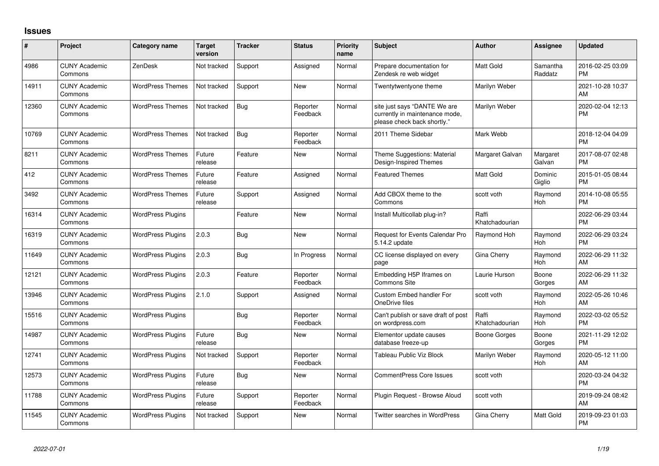## **Issues**

| #     | Project                         | <b>Category name</b>     | <b>Target</b><br>version | <b>Tracker</b> | <b>Status</b>        | Priority<br>name | <b>Subject</b>                                                                                | <b>Author</b>           | <b>Assignee</b>     | <b>Updated</b>                |
|-------|---------------------------------|--------------------------|--------------------------|----------------|----------------------|------------------|-----------------------------------------------------------------------------------------------|-------------------------|---------------------|-------------------------------|
| 4986  | <b>CUNY Academic</b><br>Commons | ZenDesk                  | Not tracked              | Support        | Assigned             | Normal           | Prepare documentation for<br>Zendesk re web widget                                            | <b>Matt Gold</b>        | Samantha<br>Raddatz | 2016-02-25 03:09<br><b>PM</b> |
| 14911 | <b>CUNY Academic</b><br>Commons | <b>WordPress Themes</b>  | Not tracked              | Support        | New                  | Normal           | Twentytwentyone theme                                                                         | Marilyn Weber           |                     | 2021-10-28 10:37<br>AM        |
| 12360 | <b>CUNY Academic</b><br>Commons | <b>WordPress Themes</b>  | Not tracked              | Bug            | Reporter<br>Feedback | Normal           | site just says "DANTE We are<br>currently in maintenance mode,<br>please check back shortly." | Marilyn Weber           |                     | 2020-02-04 12:13<br><b>PM</b> |
| 10769 | <b>CUNY Academic</b><br>Commons | <b>WordPress Themes</b>  | Not tracked              | Bug            | Reporter<br>Feedback | Normal           | 2011 Theme Sidebar                                                                            | Mark Webb               |                     | 2018-12-04 04:09<br><b>PM</b> |
| 8211  | <b>CUNY Academic</b><br>Commons | <b>WordPress Themes</b>  | Future<br>release        | Feature        | New                  | Normal           | Theme Suggestions: Material<br>Design-Inspired Themes                                         | Margaret Galvan         | Margaret<br>Galvan  | 2017-08-07 02:48<br><b>PM</b> |
| 412   | <b>CUNY Academic</b><br>Commons | <b>WordPress Themes</b>  | Future<br>release        | Feature        | Assigned             | Normal           | <b>Featured Themes</b>                                                                        | Matt Gold               | Dominic<br>Giglio   | 2015-01-05 08:44<br><b>PM</b> |
| 3492  | <b>CUNY Academic</b><br>Commons | <b>WordPress Themes</b>  | Future<br>release        | Support        | Assigned             | Normal           | Add CBOX theme to the<br>Commons                                                              | scott voth              | Raymond<br>Hoh      | 2014-10-08 05:55<br><b>PM</b> |
| 16314 | <b>CUNY Academic</b><br>Commons | <b>WordPress Plugins</b> |                          | Feature        | New                  | Normal           | Install Multicollab plug-in?                                                                  | Raffi<br>Khatchadourian |                     | 2022-06-29 03:44<br><b>PM</b> |
| 16319 | <b>CUNY Academic</b><br>Commons | <b>WordPress Plugins</b> | 2.0.3                    | Bug            | <b>New</b>           | Normal           | Request for Events Calendar Pro<br>5.14.2 update                                              | Raymond Hoh             | Raymond<br>Hoh      | 2022-06-29 03:24<br><b>PM</b> |
| 11649 | <b>CUNY Academic</b><br>Commons | <b>WordPress Plugins</b> | 2.0.3                    | Bug            | In Progress          | Normal           | CC license displayed on every<br>page                                                         | Gina Cherry             | Raymond<br>Hoh      | 2022-06-29 11:32<br>AM        |
| 12121 | <b>CUNY Academic</b><br>Commons | <b>WordPress Plugins</b> | 2.0.3                    | Feature        | Reporter<br>Feedback | Normal           | Embedding H5P Iframes on<br><b>Commons Site</b>                                               | Laurie Hurson           | Boone<br>Gorges     | 2022-06-29 11:32<br>AM        |
| 13946 | <b>CUNY Academic</b><br>Commons | <b>WordPress Plugins</b> | 2.1.0                    | Support        | Assigned             | Normal           | Custom Embed handler For<br>OneDrive files                                                    | scott voth              | Raymond<br>Hoh      | 2022-05-26 10:46<br>AM        |
| 15516 | <b>CUNY Academic</b><br>Commons | <b>WordPress Plugins</b> |                          | Bug            | Reporter<br>Feedback | Normal           | Can't publish or save draft of post<br>on wordpress.com                                       | Raffi<br>Khatchadourian | Raymond<br>Hoh      | 2022-03-02 05:52<br><b>PM</b> |
| 14987 | <b>CUNY Academic</b><br>Commons | <b>WordPress Plugins</b> | Future<br>release        | Bug            | New                  | Normal           | Elementor update causes<br>database freeze-up                                                 | Boone Gorges            | Boone<br>Gorges     | 2021-11-29 12:02<br><b>PM</b> |
| 12741 | <b>CUNY Academic</b><br>Commons | <b>WordPress Plugins</b> | Not tracked              | Support        | Reporter<br>Feedback | Normal           | Tableau Public Viz Block                                                                      | Marilyn Weber           | Raymond<br>Hoh      | 2020-05-12 11:00<br>AM        |
| 12573 | <b>CUNY Academic</b><br>Commons | <b>WordPress Plugins</b> | Future<br>release        | Bug            | New                  | Normal           | <b>CommentPress Core Issues</b>                                                               | scott voth              |                     | 2020-03-24 04:32<br><b>PM</b> |
| 11788 | <b>CUNY Academic</b><br>Commons | <b>WordPress Plugins</b> | Future<br>release        | Support        | Reporter<br>Feedback | Normal           | Plugin Request - Browse Aloud                                                                 | scott voth              |                     | 2019-09-24 08:42<br>AM        |
| 11545 | <b>CUNY Academic</b><br>Commons | <b>WordPress Plugins</b> | Not tracked              | Support        | <b>New</b>           | Normal           | <b>Twitter searches in WordPress</b>                                                          | Gina Cherry             | Matt Gold           | 2019-09-23 01:03<br><b>PM</b> |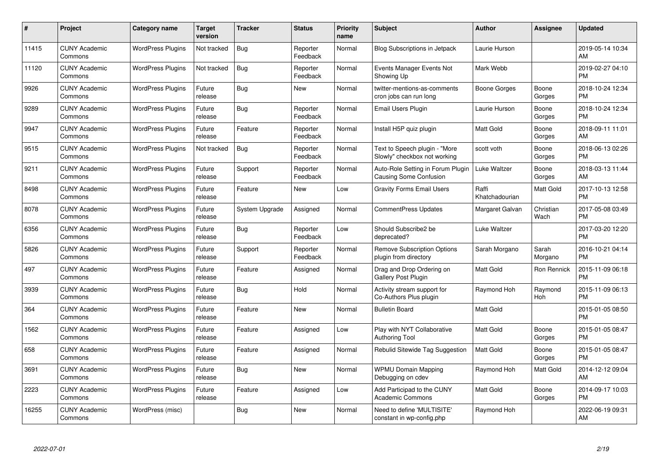| #     | Project                         | <b>Category name</b>     | <b>Target</b><br>version | <b>Tracker</b> | <b>Status</b>        | <b>Priority</b><br>name | <b>Subject</b>                                                     | <b>Author</b>           | Assignee          | <b>Updated</b>                |
|-------|---------------------------------|--------------------------|--------------------------|----------------|----------------------|-------------------------|--------------------------------------------------------------------|-------------------------|-------------------|-------------------------------|
| 11415 | <b>CUNY Academic</b><br>Commons | <b>WordPress Plugins</b> | Not tracked              | <b>Bug</b>     | Reporter<br>Feedback | Normal                  | <b>Blog Subscriptions in Jetpack</b>                               | Laurie Hurson           |                   | 2019-05-14 10:34<br>AM        |
| 11120 | <b>CUNY Academic</b><br>Commons | <b>WordPress Plugins</b> | Not tracked              | Bug            | Reporter<br>Feedback | Normal                  | Events Manager Events Not<br>Showing Up                            | Mark Webb               |                   | 2019-02-27 04:10<br><b>PM</b> |
| 9926  | <b>CUNY Academic</b><br>Commons | <b>WordPress Plugins</b> | Future<br>release        | <b>Bug</b>     | <b>New</b>           | Normal                  | twitter-mentions-as-comments<br>cron jobs can run long             | Boone Gorges            | Boone<br>Gorges   | 2018-10-24 12:34<br><b>PM</b> |
| 9289  | <b>CUNY Academic</b><br>Commons | <b>WordPress Plugins</b> | Future<br>release        | Bug            | Reporter<br>Feedback | Normal                  | Email Users Plugin                                                 | Laurie Hurson           | Boone<br>Gorges   | 2018-10-24 12:34<br><b>PM</b> |
| 9947  | <b>CUNY Academic</b><br>Commons | <b>WordPress Plugins</b> | Future<br>release        | Feature        | Reporter<br>Feedback | Normal                  | Install H5P quiz plugin                                            | <b>Matt Gold</b>        | Boone<br>Gorges   | 2018-09-11 11:01<br>AM        |
| 9515  | <b>CUNY Academic</b><br>Commons | <b>WordPress Plugins</b> | Not tracked              | Bug            | Reporter<br>Feedback | Normal                  | Text to Speech plugin - "More<br>Slowly" checkbox not working      | scott voth              | Boone<br>Gorges   | 2018-06-13 02:26<br><b>PM</b> |
| 9211  | <b>CUNY Academic</b><br>Commons | <b>WordPress Plugins</b> | Future<br>release        | Support        | Reporter<br>Feedback | Normal                  | Auto-Role Setting in Forum Plugin<br><b>Causing Some Confusion</b> | Luke Waltzer            | Boone<br>Gorges   | 2018-03-13 11:44<br>AM        |
| 8498  | <b>CUNY Academic</b><br>Commons | <b>WordPress Plugins</b> | Future<br>release        | Feature        | <b>New</b>           | Low                     | <b>Gravity Forms Email Users</b>                                   | Raffi<br>Khatchadourian | Matt Gold         | 2017-10-13 12:58<br><b>PM</b> |
| 8078  | <b>CUNY Academic</b><br>Commons | <b>WordPress Plugins</b> | Future<br>release        | System Upgrade | Assigned             | Normal                  | <b>CommentPress Updates</b>                                        | Margaret Galvan         | Christian<br>Wach | 2017-05-08 03:49<br><b>PM</b> |
| 6356  | <b>CUNY Academic</b><br>Commons | <b>WordPress Plugins</b> | Future<br>release        | Bug            | Reporter<br>Feedback | Low                     | Should Subscribe2 be<br>deprecated?                                | Luke Waltzer            |                   | 2017-03-20 12:20<br><b>PM</b> |
| 5826  | <b>CUNY Academic</b><br>Commons | <b>WordPress Plugins</b> | Future<br>release        | Support        | Reporter<br>Feedback | Normal                  | <b>Remove Subscription Options</b><br>plugin from directory        | Sarah Morgano           | Sarah<br>Morgano  | 2016-10-21 04:14<br><b>PM</b> |
| 497   | <b>CUNY Academic</b><br>Commons | <b>WordPress Plugins</b> | Future<br>release        | Feature        | Assigned             | Normal                  | Drag and Drop Ordering on<br>Gallery Post Plugin                   | Matt Gold               | Ron Rennick       | 2015-11-09 06:18<br><b>PM</b> |
| 3939  | <b>CUNY Academic</b><br>Commons | <b>WordPress Plugins</b> | Future<br>release        | Bug            | Hold                 | Normal                  | Activity stream support for<br>Co-Authors Plus plugin              | Raymond Hoh             | Raymond<br>Hoh    | 2015-11-09 06:13<br><b>PM</b> |
| 364   | <b>CUNY Academic</b><br>Commons | <b>WordPress Plugins</b> | Future<br>release        | Feature        | <b>New</b>           | Normal                  | <b>Bulletin Board</b>                                              | Matt Gold               |                   | 2015-01-05 08:50<br><b>PM</b> |
| 1562  | <b>CUNY Academic</b><br>Commons | <b>WordPress Plugins</b> | Future<br>release        | Feature        | Assigned             | Low                     | Play with NYT Collaborative<br><b>Authoring Tool</b>               | Matt Gold               | Boone<br>Gorges   | 2015-01-05 08:47<br><b>PM</b> |
| 658   | <b>CUNY Academic</b><br>Commons | <b>WordPress Plugins</b> | Future<br>release        | Feature        | Assigned             | Normal                  | Rebulid Sitewide Tag Suggestion                                    | <b>Matt Gold</b>        | Boone<br>Gorges   | 2015-01-05 08:47<br><b>PM</b> |
| 3691  | <b>CUNY Academic</b><br>Commons | <b>WordPress Plugins</b> | Future<br>release        | Bug            | New                  | Normal                  | <b>WPMU Domain Mapping</b><br>Debugging on cdev                    | Raymond Hoh             | <b>Matt Gold</b>  | 2014-12-12 09:04<br>AM        |
| 2223  | <b>CUNY Academic</b><br>Commons | <b>WordPress Plugins</b> | Future<br>release        | Feature        | Assigned             | Low                     | Add Participad to the CUNY<br><b>Academic Commons</b>              | Matt Gold               | Boone<br>Gorges   | 2014-09-17 10:03<br><b>PM</b> |
| 16255 | <b>CUNY Academic</b><br>Commons | WordPress (misc)         |                          | Bug            | New                  | Normal                  | Need to define 'MULTISITE'<br>constant in wp-config.php            | Raymond Hoh             |                   | 2022-06-19 09:31<br>AM        |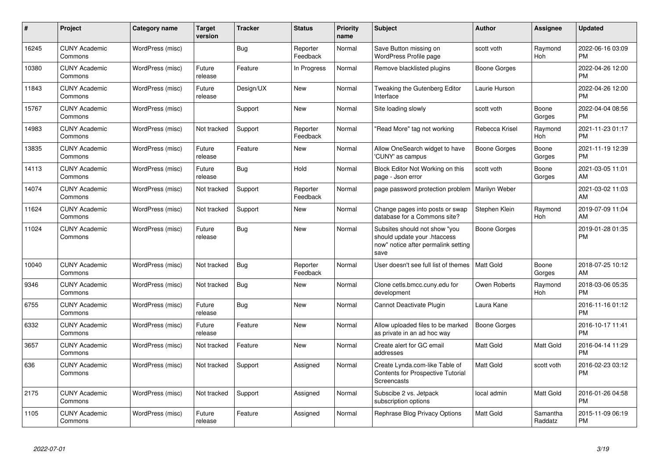| $\pmb{\#}$ | Project                         | <b>Category name</b> | <b>Target</b><br>version | <b>Tracker</b> | <b>Status</b>        | <b>Priority</b><br>name | <b>Subject</b>                                                                                               | <b>Author</b>    | Assignee              | <b>Updated</b>                |
|------------|---------------------------------|----------------------|--------------------------|----------------|----------------------|-------------------------|--------------------------------------------------------------------------------------------------------------|------------------|-----------------------|-------------------------------|
| 16245      | <b>CUNY Academic</b><br>Commons | WordPress (misc)     |                          | <b>Bug</b>     | Reporter<br>Feedback | Normal                  | Save Button missing on<br><b>WordPress Profile page</b>                                                      | scott voth       | Raymond<br><b>Hoh</b> | 2022-06-16 03:09<br><b>PM</b> |
| 10380      | <b>CUNY Academic</b><br>Commons | WordPress (misc)     | Future<br>release        | Feature        | In Progress          | Normal                  | Remove blacklisted plugins                                                                                   | Boone Gorges     |                       | 2022-04-26 12:00<br><b>PM</b> |
| 11843      | <b>CUNY Academic</b><br>Commons | WordPress (misc)     | Future<br>release        | Design/UX      | New                  | Normal                  | Tweaking the Gutenberg Editor<br>Interface                                                                   | Laurie Hurson    |                       | 2022-04-26 12:00<br><b>PM</b> |
| 15767      | <b>CUNY Academic</b><br>Commons | WordPress (misc)     |                          | Support        | New                  | Normal                  | Site loading slowly                                                                                          | scott voth       | Boone<br>Gorges       | 2022-04-04 08:56<br><b>PM</b> |
| 14983      | <b>CUNY Academic</b><br>Commons | WordPress (misc)     | Not tracked              | Support        | Reporter<br>Feedback | Normal                  | "Read More" tag not working                                                                                  | Rebecca Krisel   | Raymond<br>Hoh        | 2021-11-23 01:17<br><b>PM</b> |
| 13835      | <b>CUNY Academic</b><br>Commons | WordPress (misc)     | Future<br>release        | Feature        | <b>New</b>           | Normal                  | Allow OneSearch widget to have<br>'CUNY' as campus                                                           | Boone Gorges     | Boone<br>Gorges       | 2021-11-19 12:39<br><b>PM</b> |
| 14113      | <b>CUNY Academic</b><br>Commons | WordPress (misc)     | Future<br>release        | Bug            | Hold                 | Normal                  | Block Editor Not Working on this<br>page - Json error                                                        | scott voth       | Boone<br>Gorges       | 2021-03-05 11:01<br>AM        |
| 14074      | <b>CUNY Academic</b><br>Commons | WordPress (misc)     | Not tracked              | Support        | Reporter<br>Feedback | Normal                  | page password protection problem                                                                             | Marilyn Weber    |                       | 2021-03-02 11:03<br>AM        |
| 11624      | <b>CUNY Academic</b><br>Commons | WordPress (misc)     | Not tracked              | Support        | New                  | Normal                  | Change pages into posts or swap<br>database for a Commons site?                                              | Stephen Klein    | Raymond<br>Hoh        | 2019-07-09 11:04<br>AM        |
| 11024      | <b>CUNY Academic</b><br>Commons | WordPress (misc)     | Future<br>release        | Bug            | <b>New</b>           | Normal                  | Subsites should not show "you<br>should update your .htaccess<br>now" notice after permalink setting<br>save | Boone Gorges     |                       | 2019-01-28 01:35<br><b>PM</b> |
| 10040      | <b>CUNY Academic</b><br>Commons | WordPress (misc)     | Not tracked              | Bug            | Reporter<br>Feedback | Normal                  | User doesn't see full list of themes                                                                         | Matt Gold        | Boone<br>Gorges       | 2018-07-25 10:12<br>AM        |
| 9346       | <b>CUNY Academic</b><br>Commons | WordPress (misc)     | Not tracked              | Bug            | New                  | Normal                  | Clone cetls.bmcc.cuny.edu for<br>development                                                                 | Owen Roberts     | Raymond<br>Hoh        | 2018-03-06 05:35<br><b>PM</b> |
| 6755       | <b>CUNY Academic</b><br>Commons | WordPress (misc)     | Future<br>release        | <b>Bug</b>     | New                  | Normal                  | Cannot Deactivate Plugin                                                                                     | Laura Kane       |                       | 2016-11-16 01:12<br><b>PM</b> |
| 6332       | <b>CUNY Academic</b><br>Commons | WordPress (misc)     | Future<br>release        | Feature        | New                  | Normal                  | Allow uploaded files to be marked<br>as private in an ad hoc way                                             | Boone Gorges     |                       | 2016-10-17 11:41<br><b>PM</b> |
| 3657       | <b>CUNY Academic</b><br>Commons | WordPress (misc)     | Not tracked              | Feature        | <b>New</b>           | Normal                  | Create alert for GC email<br>addresses                                                                       | <b>Matt Gold</b> | Matt Gold             | 2016-04-14 11:29<br><b>PM</b> |
| 636        | <b>CUNY Academic</b><br>Commons | WordPress (misc)     | Not tracked              | Support        | Assigned             | Normal                  | Create Lynda.com-like Table of<br>Contents for Prospective Tutorial<br>Screencasts                           | <b>Matt Gold</b> | scott voth            | 2016-02-23 03:12<br><b>PM</b> |
| 2175       | <b>CUNY Academic</b><br>Commons | WordPress (misc)     | Not tracked              | Support        | Assigned             | Normal                  | Subscibe 2 vs. Jetpack<br>subscription options                                                               | local admin      | Matt Gold             | 2016-01-26 04:58<br><b>PM</b> |
| 1105       | <b>CUNY Academic</b><br>Commons | WordPress (misc)     | Future<br>release        | Feature        | Assigned             | Normal                  | Rephrase Blog Privacy Options                                                                                | Matt Gold        | Samantha<br>Raddatz   | 2015-11-09 06:19<br><b>PM</b> |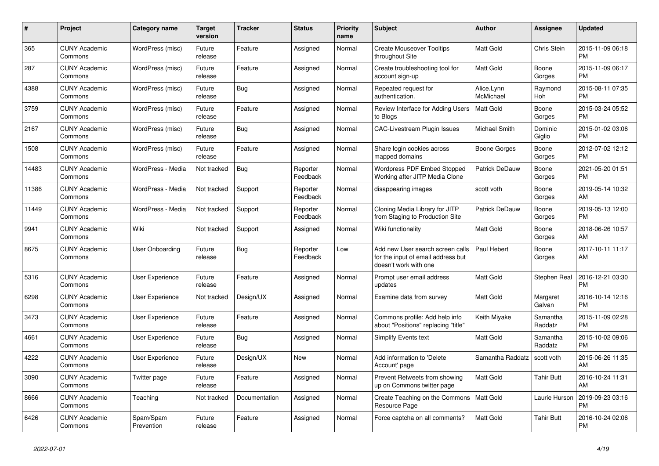| $\pmb{\#}$ | Project                         | Category name           | <b>Target</b><br>version | <b>Tracker</b> | <b>Status</b>        | <b>Priority</b><br>name | <b>Subject</b>                                                                                  | <b>Author</b>           | Assignee            | <b>Updated</b>                |
|------------|---------------------------------|-------------------------|--------------------------|----------------|----------------------|-------------------------|-------------------------------------------------------------------------------------------------|-------------------------|---------------------|-------------------------------|
| 365        | <b>CUNY Academic</b><br>Commons | WordPress (misc)        | Future<br>release        | Feature        | Assigned             | Normal                  | <b>Create Mouseover Tooltips</b><br>throughout Site                                             | <b>Matt Gold</b>        | Chris Stein         | 2015-11-09 06:18<br><b>PM</b> |
| 287        | <b>CUNY Academic</b><br>Commons | WordPress (misc)        | Future<br>release        | Feature        | Assigned             | Normal                  | Create troubleshooting tool for<br>account sign-up                                              | <b>Matt Gold</b>        | Boone<br>Gorges     | 2015-11-09 06:17<br><b>PM</b> |
| 4388       | <b>CUNY Academic</b><br>Commons | WordPress (misc)        | Future<br>release        | Bug            | Assigned             | Normal                  | Repeated request for<br>authentication.                                                         | Alice.Lynn<br>McMichael | Raymond<br>Hoh      | 2015-08-11 07:35<br><b>PM</b> |
| 3759       | <b>CUNY Academic</b><br>Commons | WordPress (misc)        | Future<br>release        | Feature        | Assigned             | Normal                  | Review Interface for Adding Users<br>to Blogs                                                   | Matt Gold               | Boone<br>Gorges     | 2015-03-24 05:52<br><b>PM</b> |
| 2167       | <b>CUNY Academic</b><br>Commons | WordPress (misc)        | Future<br>release        | <b>Bug</b>     | Assigned             | Normal                  | <b>CAC-Livestream Plugin Issues</b>                                                             | Michael Smith           | Dominic<br>Giglio   | 2015-01-02 03:06<br><b>PM</b> |
| 1508       | <b>CUNY Academic</b><br>Commons | WordPress (misc)        | Future<br>release        | Feature        | Assigned             | Normal                  | Share login cookies across<br>mapped domains                                                    | Boone Gorges            | Boone<br>Gorges     | 2012-07-02 12:12<br><b>PM</b> |
| 14483      | <b>CUNY Academic</b><br>Commons | WordPress - Media       | Not tracked              | Bug            | Reporter<br>Feedback | Normal                  | Wordpress PDF Embed Stopped<br>Working after JITP Media Clone                                   | Patrick DeDauw          | Boone<br>Gorges     | 2021-05-20 01:51<br><b>PM</b> |
| 11386      | <b>CUNY Academic</b><br>Commons | WordPress - Media       | Not tracked              | Support        | Reporter<br>Feedback | Normal                  | disappearing images                                                                             | scott voth              | Boone<br>Gorges     | 2019-05-14 10:32<br>AM        |
| 11449      | <b>CUNY Academic</b><br>Commons | WordPress - Media       | Not tracked              | Support        | Reporter<br>Feedback | Normal                  | Cloning Media Library for JITP<br>from Staging to Production Site                               | <b>Patrick DeDauw</b>   | Boone<br>Gorges     | 2019-05-13 12:00<br><b>PM</b> |
| 9941       | <b>CUNY Academic</b><br>Commons | Wiki                    | Not tracked              | Support        | Assigned             | Normal                  | Wiki functionality                                                                              | <b>Matt Gold</b>        | Boone<br>Gorges     | 2018-06-26 10:57<br>AM        |
| 8675       | <b>CUNY Academic</b><br>Commons | User Onboarding         | Future<br>release        | Bug            | Reporter<br>Feedback | Low                     | Add new User search screen calls<br>for the input of email address but<br>doesn't work with one | Paul Hebert             | Boone<br>Gorges     | 2017-10-11 11:17<br>AM        |
| 5316       | <b>CUNY Academic</b><br>Commons | User Experience         | Future<br>release        | Feature        | Assigned             | Normal                  | Prompt user email address<br>updates                                                            | <b>Matt Gold</b>        | Stephen Real        | 2016-12-21 03:30<br><b>PM</b> |
| 6298       | <b>CUNY Academic</b><br>Commons | User Experience         | Not tracked              | Design/UX      | Assigned             | Normal                  | Examine data from survey                                                                        | <b>Matt Gold</b>        | Margaret<br>Galvan  | 2016-10-14 12:16<br><b>PM</b> |
| 3473       | <b>CUNY Academic</b><br>Commons | User Experience         | Future<br>release        | Feature        | Assigned             | Normal                  | Commons profile: Add help info<br>about "Positions" replacing "title"                           | Keith Miyake            | Samantha<br>Raddatz | 2015-11-09 02:28<br><b>PM</b> |
| 4661       | <b>CUNY Academic</b><br>Commons | <b>User Experience</b>  | Future<br>release        | Bug            | Assigned             | Normal                  | Simplify Events text                                                                            | Matt Gold               | Samantha<br>Raddatz | 2015-10-02 09:06<br><b>PM</b> |
| 4222       | <b>CUNY Academic</b><br>Commons | <b>User Experience</b>  | Future<br>release        | Design/UX      | <b>New</b>           | Normal                  | Add information to 'Delete<br>Account' page                                                     | Samantha Raddatz        | scott voth          | 2015-06-26 11:35<br>AM        |
| 3090       | <b>CUNY Academic</b><br>Commons | Twitter page            | Future<br>release        | Feature        | Assigned             | Normal                  | Prevent Retweets from showing<br>up on Commons twitter page                                     | <b>Matt Gold</b>        | <b>Tahir Butt</b>   | 2016-10-24 11:31<br>AM        |
| 8666       | <b>CUNY Academic</b><br>Commons | Teaching                | Not tracked              | Documentation  | Assigned             | Normal                  | Create Teaching on the Commons<br>Resource Page                                                 | Matt Gold               | Laurie Hurson       | 2019-09-23 03:16<br><b>PM</b> |
| 6426       | <b>CUNY Academic</b><br>Commons | Spam/Spam<br>Prevention | Future<br>release        | Feature        | Assigned             | Normal                  | Force captcha on all comments?                                                                  | <b>Matt Gold</b>        | Tahir Butt          | 2016-10-24 02:06<br><b>PM</b> |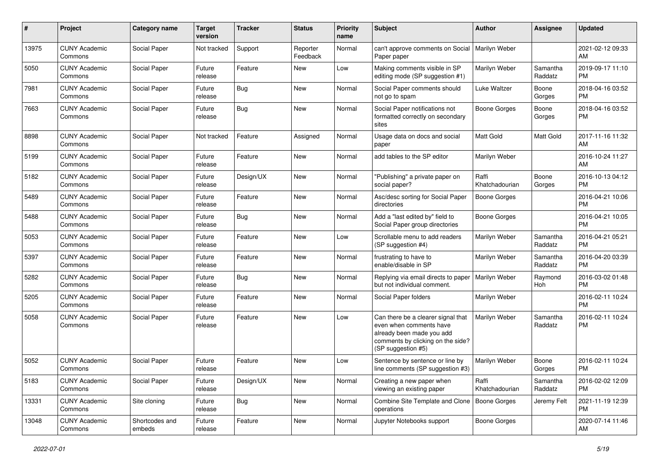| #     | Project                         | <b>Category name</b>     | <b>Target</b><br>version | <b>Tracker</b> | <b>Status</b>        | <b>Priority</b><br>name | Subject                                                                                                                                               | Author                  | <b>Assignee</b>     | <b>Updated</b>                |
|-------|---------------------------------|--------------------------|--------------------------|----------------|----------------------|-------------------------|-------------------------------------------------------------------------------------------------------------------------------------------------------|-------------------------|---------------------|-------------------------------|
| 13975 | <b>CUNY Academic</b><br>Commons | Social Paper             | Not tracked              | Support        | Reporter<br>Feedback | Normal                  | can't approve comments on Social<br>Paper paper                                                                                                       | Marilyn Weber           |                     | 2021-02-12 09:33<br>AM        |
| 5050  | <b>CUNY Academic</b><br>Commons | Social Paper             | Future<br>release        | Feature        | New                  | Low                     | Making comments visible in SP<br>editing mode (SP suggestion #1)                                                                                      | Marilyn Weber           | Samantha<br>Raddatz | 2019-09-17 11:10<br><b>PM</b> |
| 7981  | <b>CUNY Academic</b><br>Commons | Social Paper             | Future<br>release        | Bug            | <b>New</b>           | Normal                  | Social Paper comments should<br>not go to spam                                                                                                        | Luke Waltzer            | Boone<br>Gorges     | 2018-04-16 03:52<br><b>PM</b> |
| 7663  | <b>CUNY Academic</b><br>Commons | Social Paper             | Future<br>release        | Bug            | <b>New</b>           | Normal                  | Social Paper notifications not<br>formatted correctly on secondary<br>sites                                                                           | Boone Gorges            | Boone<br>Gorges     | 2018-04-16 03:52<br><b>PM</b> |
| 8898  | <b>CUNY Academic</b><br>Commons | Social Paper             | Not tracked              | Feature        | Assigned             | Normal                  | Usage data on docs and social<br>paper                                                                                                                | Matt Gold               | Matt Gold           | 2017-11-16 11:32<br>AM        |
| 5199  | <b>CUNY Academic</b><br>Commons | Social Paper             | Future<br>release        | Feature        | <b>New</b>           | Normal                  | add tables to the SP editor                                                                                                                           | Marilyn Weber           |                     | 2016-10-24 11:27<br>AM        |
| 5182  | <b>CUNY Academic</b><br>Commons | Social Paper             | Future<br>release        | Design/UX      | New                  | Normal                  | "Publishing" a private paper on<br>social paper?                                                                                                      | Raffi<br>Khatchadourian | Boone<br>Gorges     | 2016-10-13 04:12<br><b>PM</b> |
| 5489  | <b>CUNY Academic</b><br>Commons | Social Paper             | Future<br>release        | Feature        | <b>New</b>           | Normal                  | Asc/desc sorting for Social Paper<br>directories                                                                                                      | Boone Gorges            |                     | 2016-04-21 10:06<br><b>PM</b> |
| 5488  | <b>CUNY Academic</b><br>Commons | Social Paper             | Future<br>release        | Bug            | <b>New</b>           | Normal                  | Add a "last edited by" field to<br>Social Paper group directories                                                                                     | <b>Boone Gorges</b>     |                     | 2016-04-21 10:05<br><b>PM</b> |
| 5053  | <b>CUNY Academic</b><br>Commons | Social Paper             | Future<br>release        | Feature        | New                  | Low                     | Scrollable menu to add readers<br>(SP suggestion #4)                                                                                                  | Marilyn Weber           | Samantha<br>Raddatz | 2016-04-21 05:21<br><b>PM</b> |
| 5397  | <b>CUNY Academic</b><br>Commons | Social Paper             | Future<br>release        | Feature        | <b>New</b>           | Normal                  | frustrating to have to<br>enable/disable in SP                                                                                                        | Marilyn Weber           | Samantha<br>Raddatz | 2016-04-20 03:39<br><b>PM</b> |
| 5282  | <b>CUNY Academic</b><br>Commons | Social Paper             | Future<br>release        | Bug            | <b>New</b>           | Normal                  | Replying via email directs to paper<br>but not individual comment.                                                                                    | Marilyn Weber           | Raymond<br>Hoh      | 2016-03-02 01:48<br><b>PM</b> |
| 5205  | <b>CUNY Academic</b><br>Commons | Social Paper             | Future<br>release        | Feature        | <b>New</b>           | Normal                  | Social Paper folders                                                                                                                                  | Marilyn Weber           |                     | 2016-02-11 10:24<br><b>PM</b> |
| 5058  | <b>CUNY Academic</b><br>Commons | Social Paper             | Future<br>release        | Feature        | New                  | Low                     | Can there be a clearer signal that<br>even when comments have<br>already been made you add<br>comments by clicking on the side?<br>(SP suggestion #5) | Marilyn Weber           | Samantha<br>Raddatz | 2016-02-11 10:24<br><b>PM</b> |
| 5052  | <b>CUNY Academic</b><br>Commons | Social Paper             | Future<br>release        | Feature        | New                  | Low                     | Sentence by sentence or line by<br>line comments (SP suggestion #3)                                                                                   | <b>Marilyn Weber</b>    | Boone<br>Gorges     | 2016-02-11 10:24<br><b>PM</b> |
| 5183  | <b>CUNY Academic</b><br>Commons | Social Paper             | Future<br>release        | Design/UX      | New                  | Normal                  | Creating a new paper when<br>viewing an existing paper                                                                                                | Raffi<br>Khatchadourian | Samantha<br>Raddatz | 2016-02-02 12:09<br>PM.       |
| 13331 | <b>CUNY Academic</b><br>Commons | Site cloning             | Future<br>release        | <b>Bug</b>     | New                  | Normal                  | Combine Site Template and Clone   Boone Gorges<br>operations                                                                                          |                         | Jeremy Felt         | 2021-11-19 12:39<br><b>PM</b> |
| 13048 | <b>CUNY Academic</b><br>Commons | Shortcodes and<br>embeds | Future<br>release        | Feature        | New                  | Normal                  | Jupyter Notebooks support                                                                                                                             | Boone Gorges            |                     | 2020-07-14 11:46<br>AM        |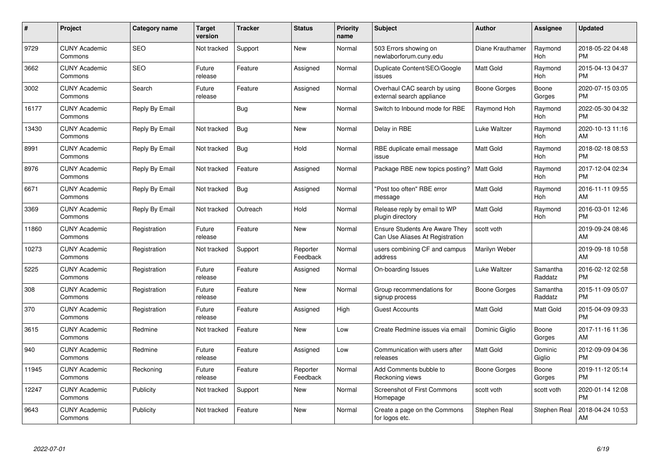| $\#$  | Project                         | <b>Category name</b> | <b>Target</b><br>version | <b>Tracker</b> | <b>Status</b>        | <b>Priority</b><br>name | <b>Subject</b>                                                           | <b>Author</b>    | Assignee            | <b>Updated</b>                |
|-------|---------------------------------|----------------------|--------------------------|----------------|----------------------|-------------------------|--------------------------------------------------------------------------|------------------|---------------------|-------------------------------|
| 9729  | <b>CUNY Academic</b><br>Commons | <b>SEO</b>           | Not tracked              | Support        | New                  | Normal                  | 503 Errors showing on<br>newlaborforum.cuny.edu                          | Diane Krauthamer | Raymond<br>Hoh      | 2018-05-22 04:48<br><b>PM</b> |
| 3662  | <b>CUNY Academic</b><br>Commons | <b>SEO</b>           | Future<br>release        | Feature        | Assigned             | Normal                  | Duplicate Content/SEO/Google<br>issues                                   | <b>Matt Gold</b> | Raymond<br>Hoh      | 2015-04-13 04:37<br><b>PM</b> |
| 3002  | <b>CUNY Academic</b><br>Commons | Search               | Future<br>release        | Feature        | Assigned             | Normal                  | Overhaul CAC search by using<br>external search appliance                | Boone Gorges     | Boone<br>Gorges     | 2020-07-15 03:05<br><b>PM</b> |
| 16177 | <b>CUNY Academic</b><br>Commons | Reply By Email       |                          | Bug            | <b>New</b>           | Normal                  | Switch to Inbound mode for RBE                                           | Raymond Hoh      | Raymond<br>Hoh      | 2022-05-30 04:32<br><b>PM</b> |
| 13430 | <b>CUNY Academic</b><br>Commons | Reply By Email       | Not tracked              | <b>Bug</b>     | <b>New</b>           | Normal                  | Delay in RBE                                                             | Luke Waltzer     | Raymond<br>Hoh      | 2020-10-13 11:16<br>AM        |
| 8991  | <b>CUNY Academic</b><br>Commons | Reply By Email       | Not tracked              | Bug            | Hold                 | Normal                  | RBE duplicate email message<br>issue                                     | <b>Matt Gold</b> | Raymond<br>Hoh      | 2018-02-18 08:53<br><b>PM</b> |
| 8976  | <b>CUNY Academic</b><br>Commons | Reply By Email       | Not tracked              | Feature        | Assigned             | Normal                  | Package RBE new topics posting?                                          | <b>Matt Gold</b> | Raymond<br>Hoh      | 2017-12-04 02:34<br><b>PM</b> |
| 6671  | <b>CUNY Academic</b><br>Commons | Reply By Email       | Not tracked              | Bug            | Assigned             | Normal                  | "Post too often" RBE error<br>message                                    | <b>Matt Gold</b> | Raymond<br>Hoh      | 2016-11-11 09:55<br>AM        |
| 3369  | <b>CUNY Academic</b><br>Commons | Reply By Email       | Not tracked              | Outreach       | Hold                 | Normal                  | Release reply by email to WP<br>plugin directory                         | <b>Matt Gold</b> | Raymond<br>Hoh      | 2016-03-01 12:46<br><b>PM</b> |
| 11860 | <b>CUNY Academic</b><br>Commons | Registration         | Future<br>release        | Feature        | <b>New</b>           | Normal                  | <b>Ensure Students Are Aware They</b><br>Can Use Aliases At Registration | scott voth       |                     | 2019-09-24 08:46<br>AM        |
| 10273 | <b>CUNY Academic</b><br>Commons | Registration         | Not tracked              | Support        | Reporter<br>Feedback | Normal                  | users combining CF and campus<br>address                                 | Marilyn Weber    |                     | 2019-09-18 10:58<br>AM        |
| 5225  | <b>CUNY Academic</b><br>Commons | Registration         | Future<br>release        | Feature        | Assigned             | Normal                  | On-boarding Issues                                                       | Luke Waltzer     | Samantha<br>Raddatz | 2016-02-12 02:58<br><b>PM</b> |
| 308   | <b>CUNY Academic</b><br>Commons | Registration         | Future<br>release        | Feature        | <b>New</b>           | Normal                  | Group recommendations for<br>signup process                              | Boone Gorges     | Samantha<br>Raddatz | 2015-11-09 05:07<br><b>PM</b> |
| 370   | <b>CUNY Academic</b><br>Commons | Registration         | Future<br>release        | Feature        | Assigned             | High                    | <b>Guest Accounts</b>                                                    | Matt Gold        | Matt Gold           | 2015-04-09 09:33<br><b>PM</b> |
| 3615  | <b>CUNY Academic</b><br>Commons | Redmine              | Not tracked              | Feature        | New                  | Low                     | Create Redmine issues via email                                          | Dominic Giglio   | Boone<br>Gorges     | 2017-11-16 11:36<br>AM        |
| 940   | <b>CUNY Academic</b><br>Commons | Redmine              | Future<br>release        | Feature        | Assigned             | Low                     | Communication with users after<br>releases                               | Matt Gold        | Dominic<br>Giglio   | 2012-09-09 04:36<br><b>PM</b> |
| 11945 | <b>CUNY Academic</b><br>Commons | Reckoning            | Future<br>release        | Feature        | Reporter<br>Feedback | Normal                  | Add Comments bubble to<br>Reckoning views                                | Boone Gorges     | Boone<br>Gorges     | 2019-11-12 05:14<br><b>PM</b> |
| 12247 | <b>CUNY Academic</b><br>Commons | Publicity            | Not tracked              | Support        | New                  | Normal                  | <b>Screenshot of First Commons</b><br>Homepage                           | scott voth       | scott voth          | 2020-01-14 12:08<br><b>PM</b> |
| 9643  | <b>CUNY Academic</b><br>Commons | Publicity            | Not tracked              | Feature        | <b>New</b>           | Normal                  | Create a page on the Commons<br>for logos etc.                           | Stephen Real     | Stephen Real        | 2018-04-24 10:53<br>AM        |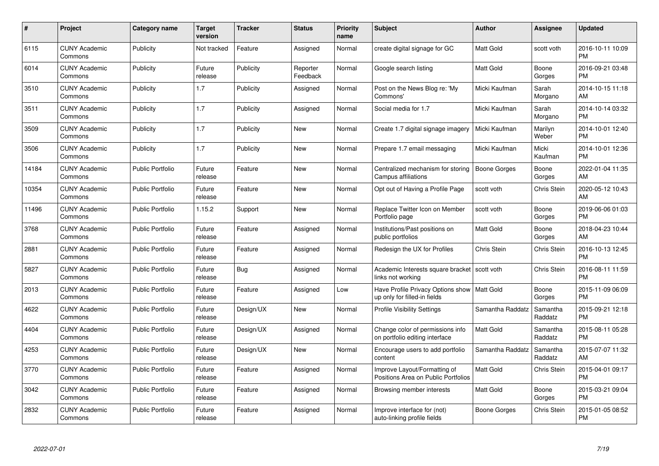| $\#$  | Project                         | <b>Category name</b>    | Target<br>version | <b>Tracker</b> | <b>Status</b>        | Priority<br>name | <b>Subject</b>                                                                | <b>Author</b>       | <b>Assignee</b>     | <b>Updated</b>                |
|-------|---------------------------------|-------------------------|-------------------|----------------|----------------------|------------------|-------------------------------------------------------------------------------|---------------------|---------------------|-------------------------------|
| 6115  | <b>CUNY Academic</b><br>Commons | Publicity               | Not tracked       | Feature        | Assigned             | Normal           | create digital signage for GC                                                 | <b>Matt Gold</b>    | scott voth          | 2016-10-11 10:09<br><b>PM</b> |
| 6014  | <b>CUNY Academic</b><br>Commons | Publicity               | Future<br>release | Publicity      | Reporter<br>Feedback | Normal           | Google search listing                                                         | <b>Matt Gold</b>    | Boone<br>Gorges     | 2016-09-21 03:48<br><b>PM</b> |
| 3510  | <b>CUNY Academic</b><br>Commons | Publicity               | 1.7               | Publicity      | Assigned             | Normal           | Post on the News Blog re: 'My<br>Commons'                                     | Micki Kaufman       | Sarah<br>Morgano    | 2014-10-15 11:18<br>AM        |
| 3511  | <b>CUNY Academic</b><br>Commons | Publicity               | 1.7               | Publicity      | Assigned             | Normal           | Social media for 1.7                                                          | Micki Kaufman       | Sarah<br>Morgano    | 2014-10-14 03:32<br><b>PM</b> |
| 3509  | <b>CUNY Academic</b><br>Commons | Publicity               | 1.7               | Publicity      | <b>New</b>           | Normal           | Create 1.7 digital signage imagery                                            | Micki Kaufman       | Marilyn<br>Weber    | 2014-10-01 12:40<br><b>PM</b> |
| 3506  | <b>CUNY Academic</b><br>Commons | Publicity               | 1.7               | Publicity      | <b>New</b>           | Normal           | Prepare 1.7 email messaging                                                   | Micki Kaufman       | Micki<br>Kaufman    | 2014-10-01 12:36<br><b>PM</b> |
| 14184 | <b>CUNY Academic</b><br>Commons | <b>Public Portfolio</b> | Future<br>release | Feature        | New                  | Normal           | Centralized mechanism for storing<br>Campus affiliations                      | <b>Boone Gorges</b> | Boone<br>Gorges     | 2022-01-04 11:35<br>AM        |
| 10354 | <b>CUNY Academic</b><br>Commons | <b>Public Portfolio</b> | Future<br>release | Feature        | New                  | Normal           | Opt out of Having a Profile Page                                              | scott voth          | Chris Stein         | 2020-05-12 10:43<br>AM        |
| 11496 | <b>CUNY Academic</b><br>Commons | <b>Public Portfolio</b> | 1.15.2            | Support        | <b>New</b>           | Normal           | Replace Twitter Icon on Member<br>Portfolio page                              | scott voth          | Boone<br>Gorges     | 2019-06-06 01:03<br><b>PM</b> |
| 3768  | <b>CUNY Academic</b><br>Commons | <b>Public Portfolio</b> | Future<br>release | Feature        | Assigned             | Normal           | Institutions/Past positions on<br>public portfolios                           | <b>Matt Gold</b>    | Boone<br>Gorges     | 2018-04-23 10:44<br>AM        |
| 2881  | <b>CUNY Academic</b><br>Commons | <b>Public Portfolio</b> | Future<br>release | Feature        | Assigned             | Normal           | Redesign the UX for Profiles                                                  | Chris Stein         | Chris Stein         | 2016-10-13 12:45<br><b>PM</b> |
| 5827  | <b>CUNY Academic</b><br>Commons | <b>Public Portfolio</b> | Future<br>release | <b>Bug</b>     | Assigned             | Normal           | Academic Interests square bracket<br>links not working                        | scott voth          | Chris Stein         | 2016-08-11 11:59<br><b>PM</b> |
| 2013  | <b>CUNY Academic</b><br>Commons | <b>Public Portfolio</b> | Future<br>release | Feature        | Assigned             | Low              | Have Profile Privacy Options show   Matt Gold<br>up only for filled-in fields |                     | Boone<br>Gorges     | 2015-11-09 06:09<br><b>PM</b> |
| 4622  | <b>CUNY Academic</b><br>Commons | <b>Public Portfolio</b> | Future<br>release | Design/UX      | <b>New</b>           | Normal           | <b>Profile Visibility Settings</b>                                            | Samantha Raddatz    | Samantha<br>Raddatz | 2015-09-21 12:18<br><b>PM</b> |
| 4404  | <b>CUNY Academic</b><br>Commons | <b>Public Portfolio</b> | Future<br>release | Design/UX      | Assigned             | Normal           | Change color of permissions info<br>on portfolio editing interface            | Matt Gold           | Samantha<br>Raddatz | 2015-08-11 05:28<br><b>PM</b> |
| 4253  | <b>CUNY Academic</b><br>Commons | <b>Public Portfolio</b> | Future<br>release | Design/UX      | New                  | Normal           | Encourage users to add portfolio<br>content                                   | Samantha Raddatz    | Samantha<br>Raddatz | 2015-07-07 11:32<br>AM        |
| 3770  | <b>CUNY Academic</b><br>Commons | <b>Public Portfolio</b> | Future<br>release | Feature        | Assigned             | Normal           | Improve Layout/Formatting of<br>Positions Area on Public Portfolios           | Matt Gold           | <b>Chris Stein</b>  | 2015-04-01 09:17<br><b>PM</b> |
| 3042  | <b>CUNY Academic</b><br>Commons | <b>Public Portfolio</b> | Future<br>release | Feature        | Assigned             | Normal           | Browsing member interests                                                     | Matt Gold           | Boone<br>Gorges     | 2015-03-21 09:04<br><b>PM</b> |
| 2832  | <b>CUNY Academic</b><br>Commons | Public Portfolio        | Future<br>release | Feature        | Assigned             | Normal           | Improve interface for (not)<br>auto-linking profile fields                    | Boone Gorges        | Chris Stein         | 2015-01-05 08:52<br><b>PM</b> |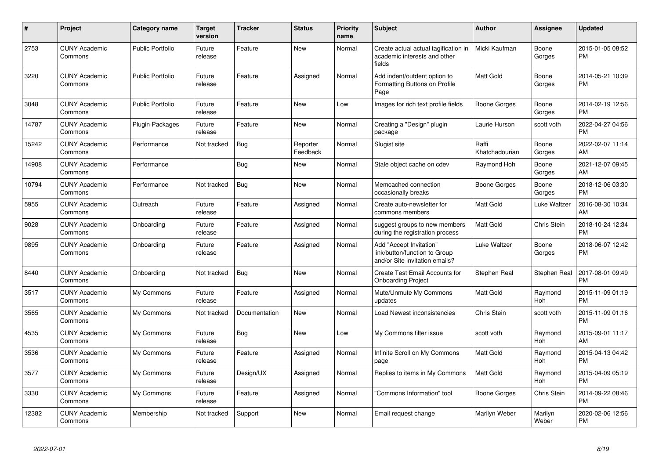| #     | <b>Project</b>                  | Category name           | <b>Target</b><br>version | <b>Tracker</b> | <b>Status</b>        | <b>Priority</b><br>name | <b>Subject</b>                                                                             | <b>Author</b>           | Assignee         | <b>Updated</b>                |
|-------|---------------------------------|-------------------------|--------------------------|----------------|----------------------|-------------------------|--------------------------------------------------------------------------------------------|-------------------------|------------------|-------------------------------|
| 2753  | <b>CUNY Academic</b><br>Commons | <b>Public Portfolio</b> | Future<br>release        | Feature        | <b>New</b>           | Normal                  | Create actual actual tagification in<br>academic interests and other<br>fields             | Micki Kaufman           | Boone<br>Gorges  | 2015-01-05 08:52<br><b>PM</b> |
| 3220  | <b>CUNY Academic</b><br>Commons | <b>Public Portfolio</b> | Future<br>release        | Feature        | Assigned             | Normal                  | Add indent/outdent option to<br>Formatting Buttons on Profile<br>Page                      | <b>Matt Gold</b>        | Boone<br>Gorges  | 2014-05-21 10:39<br><b>PM</b> |
| 3048  | <b>CUNY Academic</b><br>Commons | <b>Public Portfolio</b> | Future<br>release        | Feature        | New                  | Low                     | Images for rich text profile fields                                                        | Boone Gorges            | Boone<br>Gorges  | 2014-02-19 12:56<br><b>PM</b> |
| 14787 | <b>CUNY Academic</b><br>Commons | <b>Plugin Packages</b>  | Future<br>release        | Feature        | <b>New</b>           | Normal                  | Creating a "Design" plugin<br>package                                                      | Laurie Hurson           | scott voth       | 2022-04-27 04:56<br><b>PM</b> |
| 15242 | <b>CUNY Academic</b><br>Commons | Performance             | Not tracked              | <b>Bug</b>     | Reporter<br>Feedback | Normal                  | Slugist site                                                                               | Raffi<br>Khatchadourian | Boone<br>Gorges  | 2022-02-07 11:14<br>AM        |
| 14908 | <b>CUNY Academic</b><br>Commons | Performance             |                          | <b>Bug</b>     | New                  | Normal                  | Stale object cache on cdev                                                                 | Raymond Hoh             | Boone<br>Gorges  | 2021-12-07 09:45<br>AM        |
| 10794 | <b>CUNY Academic</b><br>Commons | Performance             | Not tracked              | <b>Bug</b>     | <b>New</b>           | Normal                  | Memcached connection<br>occasionally breaks                                                | Boone Gorges            | Boone<br>Gorges  | 2018-12-06 03:30<br><b>PM</b> |
| 5955  | <b>CUNY Academic</b><br>Commons | Outreach                | Future<br>release        | Feature        | Assigned             | Normal                  | Create auto-newsletter for<br>commons members                                              | <b>Matt Gold</b>        | Luke Waltzer     | 2016-08-30 10:34<br>AM        |
| 9028  | <b>CUNY Academic</b><br>Commons | Onboarding              | Future<br>release        | Feature        | Assigned             | Normal                  | suggest groups to new members<br>during the registration process                           | <b>Matt Gold</b>        | Chris Stein      | 2018-10-24 12:34<br><b>PM</b> |
| 9895  | <b>CUNY Academic</b><br>Commons | Onboarding              | Future<br>release        | Feature        | Assigned             | Normal                  | Add "Accept Invitation"<br>link/button/function to Group<br>and/or Site invitation emails? | Luke Waltzer            | Boone<br>Gorges  | 2018-06-07 12:42<br><b>PM</b> |
| 8440  | <b>CUNY Academic</b><br>Commons | Onboarding              | Not tracked              | Bug            | <b>New</b>           | Normal                  | Create Test Email Accounts for<br><b>Onboarding Project</b>                                | Stephen Real            | Stephen Real     | 2017-08-01 09:49<br><b>PM</b> |
| 3517  | <b>CUNY Academic</b><br>Commons | My Commons              | Future<br>release        | Feature        | Assigned             | Normal                  | Mute/Unmute My Commons<br>updates                                                          | Matt Gold               | Raymond<br>Hoh   | 2015-11-09 01:19<br><b>PM</b> |
| 3565  | <b>CUNY Academic</b><br>Commons | My Commons              | Not tracked              | Documentation  | New                  | Normal                  | Load Newest inconsistencies                                                                | Chris Stein             | scott voth       | 2015-11-09 01:16<br><b>PM</b> |
| 4535  | <b>CUNY Academic</b><br>Commons | My Commons              | Future<br>release        | Bug            | New                  | Low                     | My Commons filter issue                                                                    | scott voth              | Raymond<br>Hoh   | 2015-09-01 11:17<br>AM        |
| 3536  | <b>CUNY Academic</b><br>Commons | My Commons              | Future<br>release        | Feature        | Assigned             | Normal                  | Infinite Scroll on My Commons<br>page                                                      | Matt Gold               | Raymond<br>Hoh   | 2015-04-13 04:42<br><b>PM</b> |
| 3577  | <b>CUNY Academic</b><br>Commons | My Commons              | Future<br>release        | Design/UX      | Assigned             | Normal                  | Replies to items in My Commons                                                             | <b>Matt Gold</b>        | Raymond<br>Hoh   | 2015-04-09 05:19<br><b>PM</b> |
| 3330  | <b>CUNY Academic</b><br>Commons | My Commons              | Future<br>release        | Feature        | Assigned             | Normal                  | "Commons Information" tool                                                                 | Boone Gorges            | Chris Stein      | 2014-09-22 08:46<br><b>PM</b> |
| 12382 | <b>CUNY Academic</b><br>Commons | Membership              | Not tracked              | Support        | <b>New</b>           | Normal                  | Email request change                                                                       | Marilyn Weber           | Marilyn<br>Weber | 2020-02-06 12:56<br><b>PM</b> |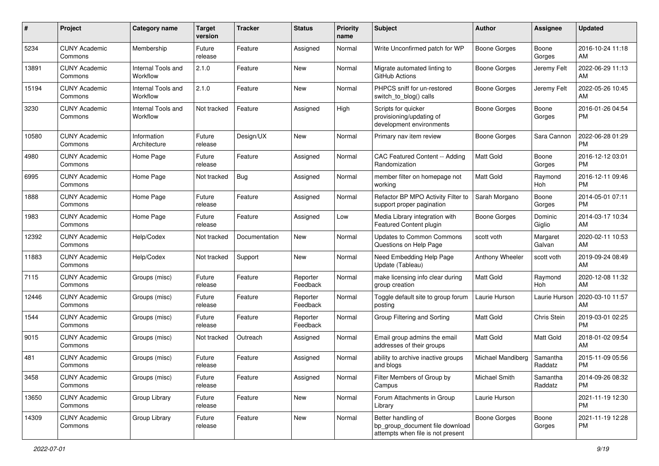| #     | Project                         | <b>Category name</b>           | <b>Target</b><br>version | <b>Tracker</b> | <b>Status</b>        | Priority<br>name | <b>Subject</b>                                                                             | Author              | <b>Assignee</b>     | <b>Updated</b>                |
|-------|---------------------------------|--------------------------------|--------------------------|----------------|----------------------|------------------|--------------------------------------------------------------------------------------------|---------------------|---------------------|-------------------------------|
| 5234  | <b>CUNY Academic</b><br>Commons | Membership                     | Future<br>release        | Feature        | Assigned             | Normal           | Write Unconfirmed patch for WP                                                             | <b>Boone Gorges</b> | Boone<br>Gorges     | 2016-10-24 11:18<br>AM        |
| 13891 | <b>CUNY Academic</b><br>Commons | Internal Tools and<br>Workflow | 2.1.0                    | Feature        | New                  | Normal           | Migrate automated linting to<br>GitHub Actions                                             | <b>Boone Gorges</b> | Jeremy Felt         | 2022-06-29 11:13<br>AM        |
| 15194 | <b>CUNY Academic</b><br>Commons | Internal Tools and<br>Workflow | 2.1.0                    | Feature        | New                  | Normal           | PHPCS sniff for un-restored<br>switch_to_blog() calls                                      | <b>Boone Gorges</b> | Jeremy Felt         | 2022-05-26 10:45<br>AM        |
| 3230  | <b>CUNY Academic</b><br>Commons | Internal Tools and<br>Workflow | Not tracked              | Feature        | Assigned             | High             | Scripts for quicker<br>provisioning/updating of<br>development environments                | Boone Gorges        | Boone<br>Gorges     | 2016-01-26 04:54<br><b>PM</b> |
| 10580 | <b>CUNY Academic</b><br>Commons | Information<br>Architecture    | Future<br>release        | Design/UX      | New                  | Normal           | Primary nav item review                                                                    | Boone Gorges        | Sara Cannon         | 2022-06-28 01:29<br><b>PM</b> |
| 4980  | <b>CUNY Academic</b><br>Commons | Home Page                      | Future<br>release        | Feature        | Assigned             | Normal           | CAC Featured Content -- Adding<br>Randomization                                            | <b>Matt Gold</b>    | Boone<br>Gorges     | 2016-12-12 03:01<br><b>PM</b> |
| 6995  | <b>CUNY Academic</b><br>Commons | Home Page                      | Not tracked              | Bug            | Assigned             | Normal           | member filter on homepage not<br>working                                                   | Matt Gold           | Raymond<br>Hoh      | 2016-12-11 09:46<br><b>PM</b> |
| 1888  | <b>CUNY Academic</b><br>Commons | Home Page                      | Future<br>release        | Feature        | Assigned             | Normal           | Refactor BP MPO Activity Filter to<br>support proper pagination                            | Sarah Morgano       | Boone<br>Gorges     | 2014-05-01 07:11<br><b>PM</b> |
| 1983  | <b>CUNY Academic</b><br>Commons | Home Page                      | Future<br>release        | Feature        | Assigned             | Low              | Media Library integration with<br>Featured Content plugin                                  | <b>Boone Gorges</b> | Dominic<br>Giglio   | 2014-03-17 10:34<br>AM        |
| 12392 | <b>CUNY Academic</b><br>Commons | Help/Codex                     | Not tracked              | Documentation  | New                  | Normal           | <b>Updates to Common Commons</b><br>Questions on Help Page                                 | scott voth          | Margaret<br>Galvan  | 2020-02-11 10:53<br>AM        |
| 11883 | <b>CUNY Academic</b><br>Commons | Help/Codex                     | Not tracked              | Support        | New                  | Normal           | Need Embedding Help Page<br>Update (Tableau)                                               | Anthony Wheeler     | scott voth          | 2019-09-24 08:49<br>AM        |
| 7115  | <b>CUNY Academic</b><br>Commons | Groups (misc)                  | Future<br>release        | Feature        | Reporter<br>Feedback | Normal           | make licensing info clear during<br>group creation                                         | Matt Gold           | Raymond<br>Hoh      | 2020-12-08 11:32<br>AM        |
| 12446 | <b>CUNY Academic</b><br>Commons | Groups (misc)                  | Future<br>release        | Feature        | Reporter<br>Feedback | Normal           | Toggle default site to group forum<br>posting                                              | Laurie Hurson       | Laurie Hurson       | 2020-03-10 11:57<br>AM        |
| 1544  | <b>CUNY Academic</b><br>Commons | Groups (misc)                  | Future<br>release        | Feature        | Reporter<br>Feedback | Normal           | Group Filtering and Sorting                                                                | <b>Matt Gold</b>    | Chris Stein         | 2019-03-01 02:25<br><b>PM</b> |
| 9015  | <b>CUNY Academic</b><br>Commons | Groups (misc)                  | Not tracked              | Outreach       | Assigned             | Normal           | Email group admins the email<br>addresses of their groups                                  | Matt Gold           | Matt Gold           | 2018-01-02 09:54<br>AM        |
| 481   | <b>CUNY Academic</b><br>Commons | Groups (misc)                  | Future<br>release        | Feature        | Assigned             | Normal           | ability to archive inactive groups<br>and blogs                                            | Michael Mandiberg   | Samantha<br>Raddatz | 2015-11-09 05:56<br><b>PM</b> |
| 3458  | <b>CUNY Academic</b><br>Commons | Groups (misc)                  | Future<br>release        | Feature        | Assigned             | Normal           | Filter Members of Group by<br>Campus                                                       | Michael Smith       | Samantha<br>Raddatz | 2014-09-26 08:32<br><b>PM</b> |
| 13650 | <b>CUNY Academic</b><br>Commons | Group Library                  | Future<br>release        | Feature        | New                  | Normal           | Forum Attachments in Group<br>Library                                                      | Laurie Hurson       |                     | 2021-11-19 12:30<br><b>PM</b> |
| 14309 | <b>CUNY Academic</b><br>Commons | Group Library                  | Future<br>release        | Feature        | New                  | Normal           | Better handling of<br>bp_group_document file download<br>attempts when file is not present | <b>Boone Gorges</b> | Boone<br>Gorges     | 2021-11-19 12:28<br><b>PM</b> |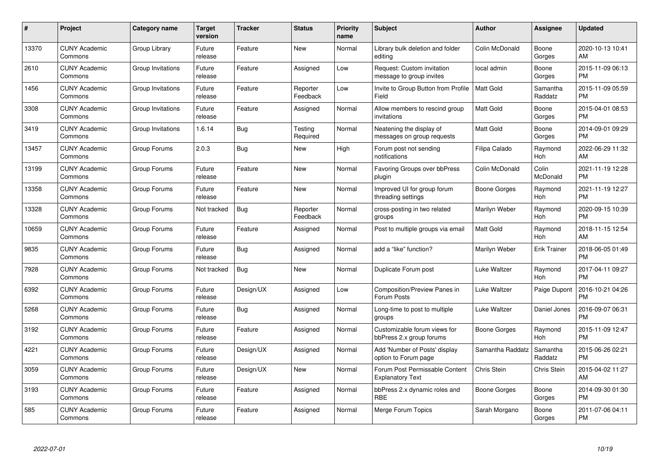| #     | Project                         | <b>Category name</b> | <b>Target</b><br>version | <b>Tracker</b> | <b>Status</b>        | <b>Priority</b><br>name | <b>Subject</b>                                            | <b>Author</b>    | Assignee            | <b>Updated</b>                |
|-------|---------------------------------|----------------------|--------------------------|----------------|----------------------|-------------------------|-----------------------------------------------------------|------------------|---------------------|-------------------------------|
| 13370 | <b>CUNY Academic</b><br>Commons | Group Library        | Future<br>release        | Feature        | <b>New</b>           | Normal                  | Library bulk deletion and folder<br>editing               | Colin McDonald   | Boone<br>Gorges     | 2020-10-13 10:41<br>AM        |
| 2610  | <b>CUNY Academic</b><br>Commons | Group Invitations    | Future<br>release        | Feature        | Assigned             | Low                     | Request: Custom invitation<br>message to group invites    | local admin      | Boone<br>Gorges     | 2015-11-09 06:13<br><b>PM</b> |
| 1456  | <b>CUNY Academic</b><br>Commons | Group Invitations    | Future<br>release        | Feature        | Reporter<br>Feedback | Low                     | Invite to Group Button from Profile<br>Field              | <b>Matt Gold</b> | Samantha<br>Raddatz | 2015-11-09 05:59<br><b>PM</b> |
| 3308  | <b>CUNY Academic</b><br>Commons | Group Invitations    | Future<br>release        | Feature        | Assigned             | Normal                  | Allow members to rescind group<br>invitations             | <b>Matt Gold</b> | Boone<br>Gorges     | 2015-04-01 08:53<br><b>PM</b> |
| 3419  | <b>CUNY Academic</b><br>Commons | Group Invitations    | 1.6.14                   | Bug            | Testing<br>Required  | Normal                  | Neatening the display of<br>messages on group requests    | <b>Matt Gold</b> | Boone<br>Gorges     | 2014-09-01 09:29<br><b>PM</b> |
| 13457 | <b>CUNY Academic</b><br>Commons | Group Forums         | 2.0.3                    | <b>Bug</b>     | <b>New</b>           | High                    | Forum post not sending<br>notifications                   | Filipa Calado    | Raymond<br>Hoh      | 2022-06-29 11:32<br>AM        |
| 13199 | <b>CUNY Academic</b><br>Commons | Group Forums         | Future<br>release        | Feature        | <b>New</b>           | Normal                  | Favoring Groups over bbPress<br>plugin                    | Colin McDonald   | Colin<br>McDonald   | 2021-11-19 12:28<br><b>PM</b> |
| 13358 | <b>CUNY Academic</b><br>Commons | Group Forums         | Future<br>release        | Feature        | <b>New</b>           | Normal                  | Improved UI for group forum<br>threading settings         | Boone Gorges     | Raymond<br>Hoh      | 2021-11-19 12:27<br><b>PM</b> |
| 13328 | <b>CUNY Academic</b><br>Commons | Group Forums         | Not tracked              | <b>Bug</b>     | Reporter<br>Feedback | Normal                  | cross-posting in two related<br>groups                    | Marilyn Weber    | Raymond<br>Hoh      | 2020-09-15 10:39<br><b>PM</b> |
| 10659 | <b>CUNY Academic</b><br>Commons | Group Forums         | Future<br>release        | Feature        | Assigned             | Normal                  | Post to multiple groups via email                         | <b>Matt Gold</b> | Raymond<br>Hoh      | 2018-11-15 12:54<br>AM        |
| 9835  | <b>CUNY Academic</b><br>Commons | Group Forums         | Future<br>release        | Bug            | Assigned             | Normal                  | add a "like" function?                                    | Marilyn Weber    | Erik Trainer        | 2018-06-05 01:49<br><b>PM</b> |
| 7928  | <b>CUNY Academic</b><br>Commons | Group Forums         | Not tracked              | Bug            | New                  | Normal                  | Duplicate Forum post                                      | Luke Waltzer     | Raymond<br>Hoh      | 2017-04-11 09:27<br><b>PM</b> |
| 6392  | <b>CUNY Academic</b><br>Commons | Group Forums         | Future<br>release        | Design/UX      | Assigned             | Low                     | Composition/Preview Panes in<br>Forum Posts               | Luke Waltzer     | Paige Dupont        | 2016-10-21 04:26<br><b>PM</b> |
| 5268  | <b>CUNY Academic</b><br>Commons | Group Forums         | Future<br>release        | Bug            | Assigned             | Normal                  | Long-time to post to multiple<br>groups                   | Luke Waltzer     | Daniel Jones        | 2016-09-07 06:31<br><b>PM</b> |
| 3192  | <b>CUNY Academic</b><br>Commons | Group Forums         | Future<br>release        | Feature        | Assigned             | Normal                  | Customizable forum views for<br>bbPress 2.x group forums  | Boone Gorges     | Raymond<br>Hoh      | 2015-11-09 12:47<br><b>PM</b> |
| 4221  | <b>CUNY Academic</b><br>Commons | Group Forums         | Future<br>release        | Design/UX      | Assigned             | Normal                  | Add 'Number of Posts' display<br>option to Forum page     | Samantha Raddatz | Samantha<br>Raddatz | 2015-06-26 02:21<br><b>PM</b> |
| 3059  | <b>CUNY Academic</b><br>Commons | Group Forums         | Future<br>release        | Design/UX      | New                  | Normal                  | Forum Post Permissable Content<br><b>Explanatory Text</b> | Chris Stein      | Chris Stein         | 2015-04-02 11:27<br>AM        |
| 3193  | <b>CUNY Academic</b><br>Commons | Group Forums         | Future<br>release        | Feature        | Assigned             | Normal                  | bbPress 2.x dynamic roles and<br><b>RBE</b>               | Boone Gorges     | Boone<br>Gorges     | 2014-09-30 01:30<br><b>PM</b> |
| 585   | CUNY Academic<br>Commons        | Group Forums         | Future<br>release        | Feature        | Assigned             | Normal                  | Merge Forum Topics                                        | Sarah Morgano    | Boone<br>Gorges     | 2011-07-06 04:11<br><b>PM</b> |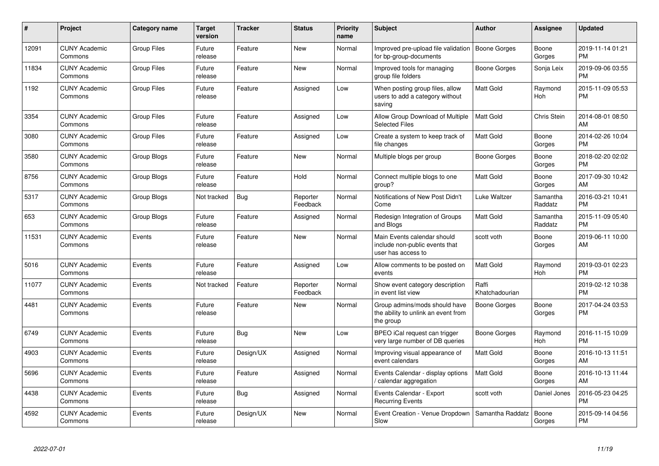| #     | Project                         | <b>Category name</b> | <b>Target</b><br>version | <b>Tracker</b> | <b>Status</b>        | <b>Priority</b><br>name | <b>Subject</b>                                                                      | <b>Author</b>           | <b>Assignee</b>       | <b>Updated</b>                |
|-------|---------------------------------|----------------------|--------------------------|----------------|----------------------|-------------------------|-------------------------------------------------------------------------------------|-------------------------|-----------------------|-------------------------------|
| 12091 | <b>CUNY Academic</b><br>Commons | <b>Group Files</b>   | Future<br>release        | Feature        | <b>New</b>           | Normal                  | Improved pre-upload file validation<br>for bp-group-documents                       | Boone Gorges            | Boone<br>Gorges       | 2019-11-14 01:21<br><b>PM</b> |
| 11834 | <b>CUNY Academic</b><br>Commons | <b>Group Files</b>   | Future<br>release        | Feature        | <b>New</b>           | Normal                  | Improved tools for managing<br>group file folders                                   | Boone Gorges            | Sonja Leix            | 2019-09-06 03:55<br><b>PM</b> |
| 1192  | <b>CUNY Academic</b><br>Commons | <b>Group Files</b>   | Future<br>release        | Feature        | Assigned             | Low                     | When posting group files, allow<br>users to add a category without<br>saving        | <b>Matt Gold</b>        | Raymond<br><b>Hoh</b> | 2015-11-09 05:53<br><b>PM</b> |
| 3354  | <b>CUNY Academic</b><br>Commons | <b>Group Files</b>   | Future<br>release        | Feature        | Assigned             | Low                     | Allow Group Download of Multiple<br><b>Selected Files</b>                           | <b>Matt Gold</b>        | Chris Stein           | 2014-08-01 08:50<br>AM        |
| 3080  | <b>CUNY Academic</b><br>Commons | <b>Group Files</b>   | Future<br>release        | Feature        | Assigned             | Low                     | Create a system to keep track of<br>file changes                                    | <b>Matt Gold</b>        | Boone<br>Gorges       | 2014-02-26 10:04<br><b>PM</b> |
| 3580  | <b>CUNY Academic</b><br>Commons | Group Blogs          | Future<br>release        | Feature        | New                  | Normal                  | Multiple blogs per group                                                            | Boone Gorges            | Boone<br>Gorges       | 2018-02-20 02:02<br><b>PM</b> |
| 8756  | <b>CUNY Academic</b><br>Commons | Group Blogs          | Future<br>release        | Feature        | Hold                 | Normal                  | Connect multiple blogs to one<br>group?                                             | Matt Gold               | Boone<br>Gorges       | 2017-09-30 10:42<br>AM        |
| 5317  | <b>CUNY Academic</b><br>Commons | Group Blogs          | Not tracked              | Bug            | Reporter<br>Feedback | Normal                  | Notifications of New Post Didn't<br>Come                                            | Luke Waltzer            | Samantha<br>Raddatz   | 2016-03-21 10:41<br><b>PM</b> |
| 653   | <b>CUNY Academic</b><br>Commons | Group Blogs          | Future<br>release        | Feature        | Assigned             | Normal                  | Redesign Integration of Groups<br>and Blogs                                         | <b>Matt Gold</b>        | Samantha<br>Raddatz   | 2015-11-09 05:40<br><b>PM</b> |
| 11531 | <b>CUNY Academic</b><br>Commons | Events               | Future<br>release        | Feature        | New                  | Normal                  | Main Events calendar should<br>include non-public events that<br>user has access to | scott voth              | Boone<br>Gorges       | 2019-06-11 10:00<br>AM        |
| 5016  | <b>CUNY Academic</b><br>Commons | Events               | Future<br>release        | Feature        | Assigned             | Low                     | Allow comments to be posted on<br>events                                            | <b>Matt Gold</b>        | Raymond<br>Hoh        | 2019-03-01 02:23<br><b>PM</b> |
| 11077 | <b>CUNY Academic</b><br>Commons | Events               | Not tracked              | Feature        | Reporter<br>Feedback | Normal                  | Show event category description<br>in event list view                               | Raffi<br>Khatchadourian |                       | 2019-02-12 10:38<br><b>PM</b> |
| 4481  | <b>CUNY Academic</b><br>Commons | Events               | Future<br>release        | Feature        | <b>New</b>           | Normal                  | Group admins/mods should have<br>the ability to unlink an event from<br>the group   | Boone Gorges            | Boone<br>Gorges       | 2017-04-24 03:53<br><b>PM</b> |
| 6749  | <b>CUNY Academic</b><br>Commons | Events               | Future<br>release        | Bug            | New                  | Low                     | BPEO iCal request can trigger<br>very large number of DB queries                    | Boone Gorges            | Raymond<br>Hoh        | 2016-11-15 10:09<br><b>PM</b> |
| 4903  | <b>CUNY Academic</b><br>Commons | Events               | Future<br>release        | Design/UX      | Assigned             | Normal                  | Improving visual appearance of<br>event calendars                                   | Matt Gold               | Boone<br>Gorges       | 2016-10-13 11:51<br>AM        |
| 5696  | <b>CUNY Academic</b><br>Commons | Events               | Future<br>release        | Feature        | Assigned             | Normal                  | Events Calendar - display options<br>/ calendar aggregation                         | <b>Matt Gold</b>        | Boone<br>Gorges       | 2016-10-13 11:44<br>AM        |
| 4438  | <b>CUNY Academic</b><br>Commons | Events               | Future<br>release        | Bug            | Assigned             | Normal                  | Events Calendar - Export<br><b>Recurring Events</b>                                 | scott voth              | Daniel Jones          | 2016-05-23 04:25<br><b>PM</b> |
| 4592  | <b>CUNY Academic</b><br>Commons | Events               | Future<br>release        | Design/UX      | <b>New</b>           | Normal                  | Event Creation - Venue Dropdown<br>Slow                                             | Samantha Raddatz        | Boone<br>Gorges       | 2015-09-14 04:56<br><b>PM</b> |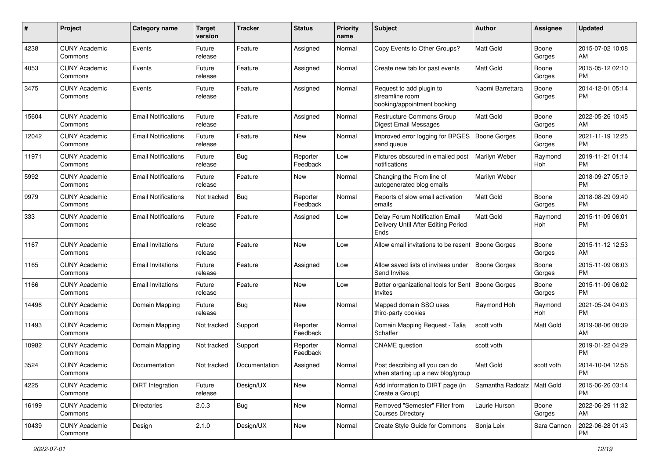| #     | Project                         | <b>Category name</b>       | <b>Target</b><br>version | <b>Tracker</b> | <b>Status</b>        | Priority<br>name | <b>Subject</b>                                                                | Author                       | <b>Assignee</b> | <b>Updated</b>                |
|-------|---------------------------------|----------------------------|--------------------------|----------------|----------------------|------------------|-------------------------------------------------------------------------------|------------------------------|-----------------|-------------------------------|
| 4238  | <b>CUNY Academic</b><br>Commons | Events                     | Future<br>release        | Feature        | Assigned             | Normal           | Copy Events to Other Groups?                                                  | <b>Matt Gold</b>             | Boone<br>Gorges | 2015-07-02 10:08<br>AM        |
| 4053  | <b>CUNY Academic</b><br>Commons | Events                     | Future<br>release        | Feature        | Assigned             | Normal           | Create new tab for past events                                                | <b>Matt Gold</b>             | Boone<br>Gorges | 2015-05-12 02:10<br><b>PM</b> |
| 3475  | <b>CUNY Academic</b><br>Commons | Events                     | Future<br>release        | Feature        | Assigned             | Normal           | Request to add plugin to<br>streamline room<br>booking/appointment booking    | Naomi Barrettara             | Boone<br>Gorges | 2014-12-01 05:14<br><b>PM</b> |
| 15604 | <b>CUNY Academic</b><br>Commons | <b>Email Notifications</b> | Future<br>release        | Feature        | Assigned             | Normal           | <b>Restructure Commons Group</b><br><b>Digest Email Messages</b>              | Matt Gold                    | Boone<br>Gorges | 2022-05-26 10:45<br>AM        |
| 12042 | <b>CUNY Academic</b><br>Commons | <b>Email Notifications</b> | Future<br>release        | Feature        | New                  | Normal           | Improved error logging for BPGES<br>send queue                                | <b>Boone Gorges</b>          | Boone<br>Gorges | 2021-11-19 12:25<br><b>PM</b> |
| 11971 | <b>CUNY Academic</b><br>Commons | <b>Email Notifications</b> | Future<br>release        | Bug            | Reporter<br>Feedback | Low              | Pictures obscured in emailed post<br>notifications                            | Marilyn Weber                | Raymond<br>Hoh  | 2019-11-21 01:14<br><b>PM</b> |
| 5992  | <b>CUNY Academic</b><br>Commons | <b>Email Notifications</b> | Future<br>release        | Feature        | New                  | Normal           | Changing the From line of<br>autogenerated blog emails                        | Marilyn Weber                |                 | 2018-09-27 05:19<br><b>PM</b> |
| 9979  | <b>CUNY Academic</b><br>Commons | <b>Email Notifications</b> | Not tracked              | Bug            | Reporter<br>Feedback | Normal           | Reports of slow email activation<br>emails                                    | <b>Matt Gold</b>             | Boone<br>Gorges | 2018-08-29 09:40<br><b>PM</b> |
| 333   | <b>CUNY Academic</b><br>Commons | <b>Email Notifications</b> | Future<br>release        | Feature        | Assigned             | Low              | Delay Forum Notification Email<br>Delivery Until After Editing Period<br>Ends | <b>Matt Gold</b>             | Raymond<br>Hoh  | 2015-11-09 06:01<br><b>PM</b> |
| 1167  | <b>CUNY Academic</b><br>Commons | <b>Email Invitations</b>   | Future<br>release        | Feature        | <b>New</b>           | Low              | Allow email invitations to be resent   Boone Gorges                           |                              | Boone<br>Gorges | 2015-11-12 12:53<br>AM        |
| 1165  | <b>CUNY Academic</b><br>Commons | <b>Email Invitations</b>   | Future<br>release        | Feature        | Assigned             | Low              | Allow saved lists of invitees under<br>Send Invites                           | <b>Boone Gorges</b>          | Boone<br>Gorges | 2015-11-09 06:03<br><b>PM</b> |
| 1166  | <b>CUNY Academic</b><br>Commons | <b>Email Invitations</b>   | Future<br>release        | Feature        | New                  | Low              | Better organizational tools for Sent   Boone Gorges<br>Invites                |                              | Boone<br>Gorges | 2015-11-09 06:02<br><b>PM</b> |
| 14496 | <b>CUNY Academic</b><br>Commons | Domain Mapping             | Future<br>release        | Bug            | <b>New</b>           | Normal           | Mapped domain SSO uses<br>third-party cookies                                 | Raymond Hoh                  | Raymond<br>Hoh  | 2021-05-24 04:03<br><b>PM</b> |
| 11493 | <b>CUNY Academic</b><br>Commons | Domain Mapping             | Not tracked              | Support        | Reporter<br>Feedback | Normal           | Domain Mapping Request - Talia<br>Schaffer                                    | scott voth                   | Matt Gold       | 2019-08-06 08:39<br>AM        |
| 10982 | <b>CUNY Academic</b><br>Commons | Domain Mapping             | Not tracked              | Support        | Reporter<br>Feedback | Normal           | <b>CNAME</b> question                                                         | scott voth                   |                 | 2019-01-22 04:29<br><b>PM</b> |
| 3524  | <b>CUNY Academic</b><br>Commons | Documentation              | Not tracked              | Documentation  | Assigned             | Normal           | Post describing all you can do<br>when starting up a new blog/group           | <b>Matt Gold</b>             | scott voth      | 2014-10-04 12:56<br>PM        |
| 4225  | <b>CUNY Academic</b><br>Commons | DiRT Integration           | Future<br>release        | Design/UX      | New                  | Normal           | Add information to DIRT page (in<br>Create a Group)                           | Samantha Raddatz   Matt Gold |                 | 2015-06-26 03:14<br><b>PM</b> |
| 16199 | <b>CUNY Academic</b><br>Commons | <b>Directories</b>         | 2.0.3                    | <b>Bug</b>     | New                  | Normal           | Removed "Semester" Filter from<br><b>Courses Directory</b>                    | Laurie Hurson                | Boone<br>Gorges | 2022-06-29 11:32<br>AM        |
| 10439 | <b>CUNY Academic</b><br>Commons | Design                     | 2.1.0                    | Design/UX      | New                  | Normal           | Create Style Guide for Commons                                                | Sonja Leix                   | Sara Cannon     | 2022-06-28 01:43<br><b>PM</b> |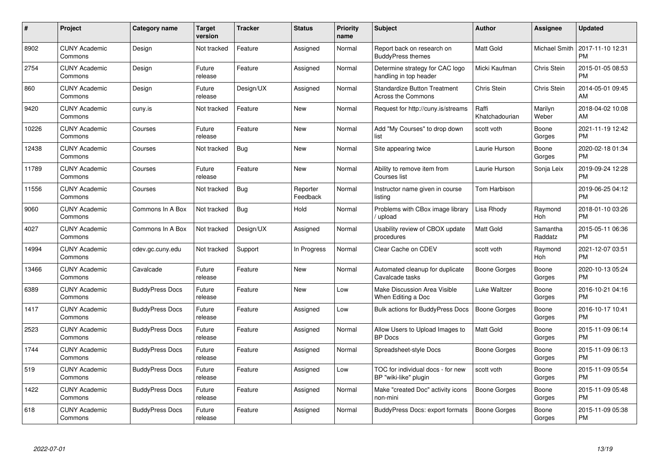| #     | <b>Project</b>                  | Category name          | Target<br>version | <b>Tracker</b> | <b>Status</b>        | <b>Priority</b><br>name | <b>Subject</b>                                                   | <b>Author</b>           | Assignee            | <b>Updated</b>                |
|-------|---------------------------------|------------------------|-------------------|----------------|----------------------|-------------------------|------------------------------------------------------------------|-------------------------|---------------------|-------------------------------|
| 8902  | <b>CUNY Academic</b><br>Commons | Design                 | Not tracked       | Feature        | Assigned             | Normal                  | Report back on research on<br><b>BuddyPress themes</b>           | <b>Matt Gold</b>        | Michael Smith       | 2017-11-10 12:31<br><b>PM</b> |
| 2754  | <b>CUNY Academic</b><br>Commons | Design                 | Future<br>release | Feature        | Assigned             | Normal                  | Determine strategy for CAC logo<br>handling in top header        | Micki Kaufman           | Chris Stein         | 2015-01-05 08:53<br>PM.       |
| 860   | <b>CUNY Academic</b><br>Commons | Design                 | Future<br>release | Design/UX      | Assigned             | Normal                  | <b>Standardize Button Treatment</b><br><b>Across the Commons</b> | Chris Stein             | <b>Chris Stein</b>  | 2014-05-01 09:45<br><b>AM</b> |
| 9420  | <b>CUNY Academic</b><br>Commons | cuny.is                | Not tracked       | Feature        | <b>New</b>           | Normal                  | Request for http://cuny.is/streams                               | Raffi<br>Khatchadourian | Marilyn<br>Weber    | 2018-04-02 10:08<br><b>AM</b> |
| 10226 | <b>CUNY Academic</b><br>Commons | Courses                | Future<br>release | Feature        | <b>New</b>           | Normal                  | Add "My Courses" to drop down<br>list                            | scott voth              | Boone<br>Gorges     | 2021-11-19 12:42<br><b>PM</b> |
| 12438 | <b>CUNY Academic</b><br>Commons | Courses                | Not tracked       | <b>Bug</b>     | <b>New</b>           | Normal                  | Site appearing twice                                             | Laurie Hurson           | Boone<br>Gorges     | 2020-02-18 01:34<br>PM.       |
| 11789 | <b>CUNY Academic</b><br>Commons | Courses                | Future<br>release | Feature        | <b>New</b>           | Normal                  | Ability to remove item from<br>Courses list                      | Laurie Hurson           | Sonja Leix          | 2019-09-24 12:28<br><b>PM</b> |
| 11556 | <b>CUNY Academic</b><br>Commons | Courses                | Not tracked       | Bug            | Reporter<br>Feedback | Normal                  | Instructor name given in course<br>listing                       | Tom Harbison            |                     | 2019-06-25 04:12<br><b>PM</b> |
| 9060  | <b>CUNY Academic</b><br>Commons | Commons In A Box       | Not tracked       | <b>Bug</b>     | Hold                 | Normal                  | Problems with CBox image library<br>/ upload                     | Lisa Rhody              | Raymond<br>Hoh      | 2018-01-10 03:26<br><b>PM</b> |
| 4027  | <b>CUNY Academic</b><br>Commons | Commons In A Box       | Not tracked       | Design/UX      | Assigned             | Normal                  | Usability review of CBOX update<br>procedures                    | <b>Matt Gold</b>        | Samantha<br>Raddatz | 2015-05-11 06:36<br>PM        |
| 14994 | <b>CUNY Academic</b><br>Commons | cdev.gc.cuny.edu       | Not tracked       | Support        | In Progress          | Normal                  | Clear Cache on CDEV                                              | scott voth              | Raymond<br>Hoh      | 2021-12-07 03:51<br><b>PM</b> |
| 13466 | <b>CUNY Academic</b><br>Commons | Cavalcade              | Future<br>release | Feature        | New                  | Normal                  | Automated cleanup for duplicate<br>Cavalcade tasks               | Boone Gorges            | Boone<br>Gorges     | 2020-10-13 05:24<br><b>PM</b> |
| 6389  | <b>CUNY Academic</b><br>Commons | <b>BuddyPress Docs</b> | Future<br>release | Feature        | <b>New</b>           | Low                     | Make Discussion Area Visible<br>When Editing a Doc               | Luke Waltzer            | Boone<br>Gorges     | 2016-10-21 04:16<br>PM.       |
| 1417  | <b>CUNY Academic</b><br>Commons | <b>BuddyPress Docs</b> | Future<br>release | Feature        | Assigned             | Low                     | <b>Bulk actions for BuddyPress Docs</b>                          | <b>Boone Gorges</b>     | Boone<br>Gorges     | 2016-10-17 10:41<br><b>PM</b> |
| 2523  | <b>CUNY Academic</b><br>Commons | <b>BuddyPress Docs</b> | Future<br>release | Feature        | Assigned             | Normal                  | Allow Users to Upload Images to<br><b>BP</b> Docs                | Matt Gold               | Boone<br>Gorges     | 2015-11-09 06:14<br><b>PM</b> |
| 1744  | <b>CUNY Academic</b><br>Commons | <b>BuddyPress Docs</b> | Future<br>release | Feature        | Assigned             | Normal                  | Spreadsheet-style Docs                                           | Boone Gorges            | Boone<br>Gorges     | 2015-11-09 06:13<br><b>PM</b> |
| 519   | <b>CUNY Academic</b><br>Commons | <b>BuddyPress Docs</b> | Future<br>release | Feature        | Assigned             | Low                     | TOC for individual docs - for new<br>BP "wiki-like" plugin       | scott voth              | Boone<br>Gorges     | 2015-11-09 05:54<br><b>PM</b> |
| 1422  | <b>CUNY Academic</b><br>Commons | <b>BuddyPress Docs</b> | Future<br>release | Feature        | Assigned             | Normal                  | Make "created Doc" activity icons<br>non-mini                    | Boone Gorges            | Boone<br>Gorges     | 2015-11-09 05:48<br><b>PM</b> |
| 618   | <b>CUNY Academic</b><br>Commons | <b>BuddyPress Docs</b> | Future<br>release | Feature        | Assigned             | Normal                  | BuddyPress Docs: export formats                                  | Boone Gorges            | Boone<br>Gorges     | 2015-11-09 05:38<br>PM        |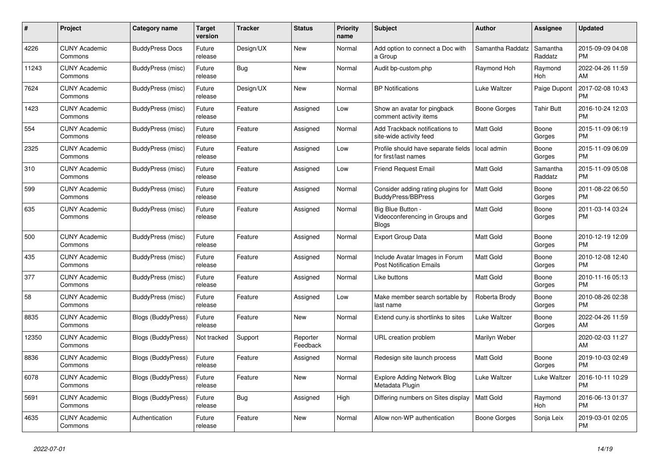| #     | Project                         | <b>Category name</b>      | <b>Target</b><br>version | <b>Tracker</b> | <b>Status</b>        | Priority<br>name | <b>Subject</b>                                                       | <b>Author</b>    | <b>Assignee</b>     | <b>Updated</b>                |
|-------|---------------------------------|---------------------------|--------------------------|----------------|----------------------|------------------|----------------------------------------------------------------------|------------------|---------------------|-------------------------------|
| 4226  | <b>CUNY Academic</b><br>Commons | <b>BuddyPress Docs</b>    | Future<br>release        | Design/UX      | <b>New</b>           | Normal           | Add option to connect a Doc with<br>a Group                          | Samantha Raddatz | Samantha<br>Raddatz | 2015-09-09 04:08<br><b>PM</b> |
| 11243 | <b>CUNY Academic</b><br>Commons | BuddyPress (misc)         | Future<br>release        | Bug            | New                  | Normal           | Audit bp-custom.php                                                  | Raymond Hoh      | Raymond<br>Hoh      | 2022-04-26 11:59<br>AM        |
| 7624  | <b>CUNY Academic</b><br>Commons | BuddyPress (misc)         | Future<br>release        | Design/UX      | <b>New</b>           | Normal           | <b>BP</b> Notifications                                              | Luke Waltzer     | Paige Dupont        | 2017-02-08 10:43<br><b>PM</b> |
| 1423  | <b>CUNY Academic</b><br>Commons | BuddyPress (misc)         | Future<br>release        | Feature        | Assigned             | Low              | Show an avatar for pingback<br>comment activity items                | Boone Gorges     | Tahir Butt          | 2016-10-24 12:03<br><b>PM</b> |
| 554   | <b>CUNY Academic</b><br>Commons | BuddyPress (misc)         | Future<br>release        | Feature        | Assigned             | Normal           | Add Trackback notifications to<br>site-wide activity feed            | <b>Matt Gold</b> | Boone<br>Gorges     | 2015-11-09 06:19<br><b>PM</b> |
| 2325  | <b>CUNY Academic</b><br>Commons | BuddyPress (misc)         | Future<br>release        | Feature        | Assigned             | Low              | Profile should have separate fields<br>for first/last names          | local admin      | Boone<br>Gorges     | 2015-11-09 06:09<br><b>PM</b> |
| 310   | <b>CUNY Academic</b><br>Commons | BuddyPress (misc)         | Future<br>release        | Feature        | Assigned             | Low              | <b>Friend Request Email</b>                                          | <b>Matt Gold</b> | Samantha<br>Raddatz | 2015-11-09 05:08<br><b>PM</b> |
| 599   | <b>CUNY Academic</b><br>Commons | BuddyPress (misc)         | Future<br>release        | Feature        | Assigned             | Normal           | Consider adding rating plugins for<br><b>BuddyPress/BBPress</b>      | <b>Matt Gold</b> | Boone<br>Gorges     | 2011-08-22 06:50<br><b>PM</b> |
| 635   | <b>CUNY Academic</b><br>Commons | BuddyPress (misc)         | Future<br>release        | Feature        | Assigned             | Normal           | Big Blue Button -<br>Videoconferencing in Groups and<br><b>Blogs</b> | Matt Gold        | Boone<br>Gorges     | 2011-03-14 03:24<br><b>PM</b> |
| 500   | <b>CUNY Academic</b><br>Commons | BuddyPress (misc)         | Future<br>release        | Feature        | Assigned             | Normal           | <b>Export Group Data</b>                                             | Matt Gold        | Boone<br>Gorges     | 2010-12-19 12:09<br><b>PM</b> |
| 435   | <b>CUNY Academic</b><br>Commons | BuddyPress (misc)         | Future<br>release        | Feature        | Assigned             | Normal           | Include Avatar Images in Forum<br><b>Post Notification Emails</b>    | Matt Gold        | Boone<br>Gorges     | 2010-12-08 12:40<br><b>PM</b> |
| 377   | <b>CUNY Academic</b><br>Commons | BuddyPress (misc)         | Future<br>release        | Feature        | Assigned             | Normal           | Like buttons                                                         | Matt Gold        | Boone<br>Gorges     | 2010-11-16 05:13<br><b>PM</b> |
| 58    | <b>CUNY Academic</b><br>Commons | BuddyPress (misc)         | Future<br>release        | Feature        | Assigned             | Low              | Make member search sortable by<br>last name                          | Roberta Brody    | Boone<br>Gorges     | 2010-08-26 02:38<br><b>PM</b> |
| 8835  | <b>CUNY Academic</b><br>Commons | <b>Blogs (BuddyPress)</b> | Future<br>release        | Feature        | New                  | Normal           | Extend cuny is shortlinks to sites                                   | Luke Waltzer     | Boone<br>Gorges     | 2022-04-26 11:59<br>AM        |
| 12350 | <b>CUNY Academic</b><br>Commons | Blogs (BuddyPress)        | Not tracked              | Support        | Reporter<br>Feedback | Normal           | URL creation problem                                                 | Marilyn Weber    |                     | 2020-02-03 11:27<br>AM        |
| 8836  | <b>CUNY Academic</b><br>Commons | Blogs (BuddyPress)        | Future<br>release        | Feature        | Assigned             | Normal           | Redesign site launch process                                         | <b>Matt Gold</b> | Boone<br>Gorges     | 2019-10-03 02:49<br><b>PM</b> |
| 6078  | <b>CUNY Academic</b><br>Commons | Blogs (BuddyPress)        | Future<br>release        | Feature        | <b>New</b>           | Normal           | <b>Explore Adding Network Blog</b><br>Metadata Plugin                | Luke Waltzer     | Luke Waltzer        | 2016-10-11 10:29<br><b>PM</b> |
| 5691  | <b>CUNY Academic</b><br>Commons | <b>Blogs (BuddyPress)</b> | Future<br>release        | Bug            | Assigned             | High             | Differing numbers on Sites display                                   | <b>Matt Gold</b> | Raymond<br>Hoh      | 2016-06-13 01:37<br><b>PM</b> |
| 4635  | <b>CUNY Academic</b><br>Commons | Authentication            | Future<br>release        | Feature        | <b>New</b>           | Normal           | Allow non-WP authentication                                          | Boone Gorges     | Sonja Leix          | 2019-03-01 02:05<br><b>PM</b> |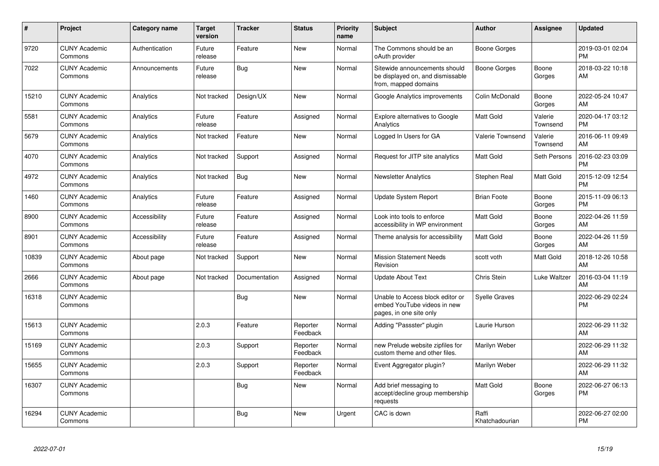| #     | Project                         | Category name  | <b>Target</b><br>version | <b>Tracker</b>       | <b>Status</b>        | <b>Priority</b><br>name | <b>Subject</b>                                                                             | <b>Author</b>           | <b>Assignee</b>     | <b>Updated</b>                |
|-------|---------------------------------|----------------|--------------------------|----------------------|----------------------|-------------------------|--------------------------------------------------------------------------------------------|-------------------------|---------------------|-------------------------------|
| 9720  | <b>CUNY Academic</b><br>Commons | Authentication | Future<br>release        | Feature              | New                  | Normal                  | The Commons should be an<br>oAuth provider                                                 | Boone Gorges            |                     | 2019-03-01 02:04<br><b>PM</b> |
| 7022  | <b>CUNY Academic</b><br>Commons | Announcements  | Future<br>release        | Bug                  | <b>New</b>           | Normal                  | Sitewide announcements should<br>be displayed on, and dismissable<br>from, mapped domains  | <b>Boone Gorges</b>     | Boone<br>Gorges     | 2018-03-22 10:18<br>AM        |
| 15210 | <b>CUNY Academic</b><br>Commons | Analytics      | Not tracked              | Design/UX            | <b>New</b>           | Normal                  | Google Analytics improvements                                                              | Colin McDonald          | Boone<br>Gorges     | 2022-05-24 10:47<br>AM        |
| 5581  | <b>CUNY Academic</b><br>Commons | Analytics      | Future<br>release        | Feature              | Assigned             | Normal                  | Explore alternatives to Google<br>Analytics                                                | <b>Matt Gold</b>        | Valerie<br>Townsend | 2020-04-17 03:12<br><b>PM</b> |
| 5679  | <b>CUNY Academic</b><br>Commons | Analytics      | Not tracked              | Feature              | <b>New</b>           | Normal                  | Logged In Users for GA                                                                     | Valerie Townsend        | Valerie<br>Townsend | 2016-06-11 09:49<br>AM        |
| 4070  | <b>CUNY Academic</b><br>Commons | Analytics      | Not tracked              | Support              | Assigned             | Normal                  | Request for JITP site analytics                                                            | <b>Matt Gold</b>        | Seth Persons        | 2016-02-23 03:09<br><b>PM</b> |
| 4972  | <b>CUNY Academic</b><br>Commons | Analytics      | Not tracked              | Bug                  | <b>New</b>           | Normal                  | <b>Newsletter Analytics</b>                                                                | Stephen Real            | Matt Gold           | 2015-12-09 12:54<br><b>PM</b> |
| 1460  | <b>CUNY Academic</b><br>Commons | Analytics      | Future<br>release        | Feature              | Assigned             | Normal                  | <b>Update System Report</b>                                                                | <b>Brian Foote</b>      | Boone<br>Gorges     | 2015-11-09 06:13<br><b>PM</b> |
| 8900  | <b>CUNY Academic</b><br>Commons | Accessibility  | Future<br>release        | Feature              | Assigned             | Normal                  | Look into tools to enforce<br>accessibility in WP environment                              | <b>Matt Gold</b>        | Boone<br>Gorges     | 2022-04-26 11:59<br>AM        |
| 8901  | <b>CUNY Academic</b><br>Commons | Accessibility  | Future<br>release        | Feature              | Assigned             | Normal                  | Theme analysis for accessibility                                                           | <b>Matt Gold</b>        | Boone<br>Gorges     | 2022-04-26 11:59<br>AM        |
| 10839 | <b>CUNY Academic</b><br>Commons | About page     | Not tracked              | Support              | <b>New</b>           | Normal                  | <b>Mission Statement Needs</b><br>Revision                                                 | scott voth              | Matt Gold           | 2018-12-26 10:58<br>AM        |
| 2666  | <b>CUNY Academic</b><br>Commons | About page     | Not tracked              | <b>Documentation</b> | Assigned             | Normal                  | <b>Update About Text</b>                                                                   | Chris Stein             | Luke Waltzer        | 2016-03-04 11:19<br>AM        |
| 16318 | <b>CUNY Academic</b><br>Commons |                |                          | <b>Bug</b>           | <b>New</b>           | Normal                  | Unable to Access block editor or<br>embed YouTube videos in new<br>pages, in one site only | <b>Syelle Graves</b>    |                     | 2022-06-29 02:24<br><b>PM</b> |
| 15613 | <b>CUNY Academic</b><br>Commons |                | 2.0.3                    | Feature              | Reporter<br>Feedback | Normal                  | Adding "Passster" plugin                                                                   | Laurie Hurson           |                     | 2022-06-29 11:32<br>AM        |
| 15169 | <b>CUNY Academic</b><br>Commons |                | 2.0.3                    | Support              | Reporter<br>Feedback | Normal                  | new Prelude website zipfiles for<br>custom theme and other files.                          | Marilyn Weber           |                     | 2022-06-29 11:32<br>AM        |
| 15655 | <b>CUNY Academic</b><br>Commons |                | 2.0.3                    | Support              | Reporter<br>Feedback | Normal                  | Event Aggregator plugin?                                                                   | Marilyn Weber           |                     | 2022-06-29 11:32<br>AM        |
| 16307 | <b>CUNY Academic</b><br>Commons |                |                          | <b>Bug</b>           | <b>New</b>           | Normal                  | Add brief messaging to<br>accept/decline group membership<br>requests                      | <b>Matt Gold</b>        | Boone<br>Gorges     | 2022-06-27 06:13<br><b>PM</b> |
| 16294 | <b>CUNY Academic</b><br>Commons |                |                          | <b>Bug</b>           | <b>New</b>           | Urgent                  | CAC is down                                                                                | Raffi<br>Khatchadourian |                     | 2022-06-27 02:00<br><b>PM</b> |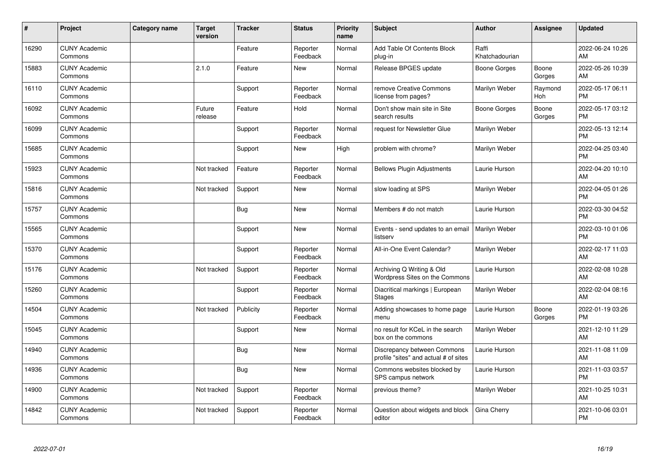| ∦     | Project                         | <b>Category name</b> | <b>Target</b><br>version | <b>Tracker</b> | <b>Status</b>        | <b>Priority</b><br>name | <b>Subject</b>                                                       | <b>Author</b>           | <b>Assignee</b> | <b>Updated</b>                |
|-------|---------------------------------|----------------------|--------------------------|----------------|----------------------|-------------------------|----------------------------------------------------------------------|-------------------------|-----------------|-------------------------------|
| 16290 | <b>CUNY Academic</b><br>Commons |                      |                          | Feature        | Reporter<br>Feedback | Normal                  | Add Table Of Contents Block<br>plug-in                               | Raffi<br>Khatchadourian |                 | 2022-06-24 10:26<br>AM        |
| 15883 | <b>CUNY Academic</b><br>Commons |                      | 2.1.0                    | Feature        | <b>New</b>           | Normal                  | Release BPGES update                                                 | <b>Boone Gorges</b>     | Boone<br>Gorges | 2022-05-26 10:39<br>AM        |
| 16110 | <b>CUNY Academic</b><br>Commons |                      |                          | Support        | Reporter<br>Feedback | Normal                  | remove Creative Commons<br>license from pages?                       | Marilyn Weber           | Raymond<br>Hoh  | 2022-05-17 06:11<br><b>PM</b> |
| 16092 | <b>CUNY Academic</b><br>Commons |                      | Future<br>release        | Feature        | Hold                 | Normal                  | Don't show main site in Site<br>search results                       | Boone Gorges            | Boone<br>Gorges | 2022-05-17 03:12<br><b>PM</b> |
| 16099 | <b>CUNY Academic</b><br>Commons |                      |                          | Support        | Reporter<br>Feedback | Normal                  | request for Newsletter Glue                                          | Marilyn Weber           |                 | 2022-05-13 12:14<br><b>PM</b> |
| 15685 | <b>CUNY Academic</b><br>Commons |                      |                          | Support        | <b>New</b>           | High                    | problem with chrome?                                                 | Marilyn Weber           |                 | 2022-04-25 03:40<br><b>PM</b> |
| 15923 | <b>CUNY Academic</b><br>Commons |                      | Not tracked              | Feature        | Reporter<br>Feedback | Normal                  | <b>Bellows Plugin Adjustments</b>                                    | Laurie Hurson           |                 | 2022-04-20 10:10<br>AM        |
| 15816 | <b>CUNY Academic</b><br>Commons |                      | Not tracked              | Support        | New                  | Normal                  | slow loading at SPS                                                  | Marilyn Weber           |                 | 2022-04-05 01:26<br><b>PM</b> |
| 15757 | <b>CUNY Academic</b><br>Commons |                      |                          | Bug            | <b>New</b>           | Normal                  | Members # do not match                                               | Laurie Hurson           |                 | 2022-03-30 04:52<br><b>PM</b> |
| 15565 | <b>CUNY Academic</b><br>Commons |                      |                          | Support        | <b>New</b>           | Normal                  | Events - send updates to an email<br>listserv                        | Marilyn Weber           |                 | 2022-03-10 01:06<br><b>PM</b> |
| 15370 | <b>CUNY Academic</b><br>Commons |                      |                          | Support        | Reporter<br>Feedback | Normal                  | All-in-One Event Calendar?                                           | Marilyn Weber           |                 | 2022-02-17 11:03<br>AM        |
| 15176 | <b>CUNY Academic</b><br>Commons |                      | Not tracked              | Support        | Reporter<br>Feedback | Normal                  | Archiving Q Writing & Old<br>Wordpress Sites on the Commons          | Laurie Hurson           |                 | 2022-02-08 10:28<br>AM        |
| 15260 | <b>CUNY Academic</b><br>Commons |                      |                          | Support        | Reporter<br>Feedback | Normal                  | Diacritical markings   European<br><b>Stages</b>                     | Marilyn Weber           |                 | 2022-02-04 08:16<br>AM        |
| 14504 | <b>CUNY Academic</b><br>Commons |                      | Not tracked              | Publicity      | Reporter<br>Feedback | Normal                  | Adding showcases to home page<br>menu                                | Laurie Hurson           | Boone<br>Gorges | 2022-01-19 03:26<br><b>PM</b> |
| 15045 | <b>CUNY Academic</b><br>Commons |                      |                          | Support        | <b>New</b>           | Normal                  | no result for KCeL in the search<br>box on the commons               | Marilyn Weber           |                 | 2021-12-10 11:29<br>AM        |
| 14940 | <b>CUNY Academic</b><br>Commons |                      |                          | Bug            | <b>New</b>           | Normal                  | Discrepancy between Commons<br>profile "sites" and actual # of sites | Laurie Hurson           |                 | 2021-11-08 11:09<br>AM        |
| 14936 | <b>CUNY Academic</b><br>Commons |                      |                          | <b>Bug</b>     | <b>New</b>           | Normal                  | Commons websites blocked by<br>SPS campus network                    | Laurie Hurson           |                 | 2021-11-03 03:57<br><b>PM</b> |
| 14900 | <b>CUNY Academic</b><br>Commons |                      | Not tracked              | Support        | Reporter<br>Feedback | Normal                  | previous theme?                                                      | Marilyn Weber           |                 | 2021-10-25 10:31<br>AM        |
| 14842 | <b>CUNY Academic</b><br>Commons |                      | Not tracked              | Support        | Reporter<br>Feedback | Normal                  | Question about widgets and block<br>editor                           | Gina Cherry             |                 | 2021-10-06 03:01<br><b>PM</b> |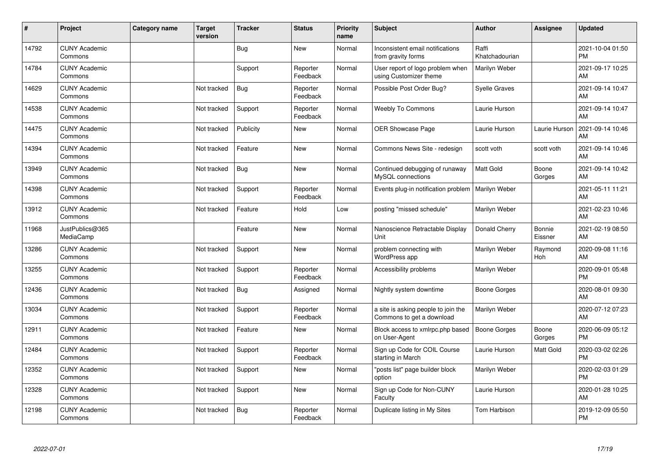| ∦     | Project                         | <b>Category name</b> | <b>Target</b><br>version | <b>Tracker</b> | <b>Status</b>        | <b>Priority</b><br>name | <b>Subject</b>                                                   | <b>Author</b>           | <b>Assignee</b>          | <b>Updated</b>                |
|-------|---------------------------------|----------------------|--------------------------|----------------|----------------------|-------------------------|------------------------------------------------------------------|-------------------------|--------------------------|-------------------------------|
| 14792 | <b>CUNY Academic</b><br>Commons |                      |                          | Bug            | <b>New</b>           | Normal                  | Inconsistent email notifications<br>from gravity forms           | Raffi<br>Khatchadourian |                          | 2021-10-04 01:50<br><b>PM</b> |
| 14784 | <b>CUNY Academic</b><br>Commons |                      |                          | Support        | Reporter<br>Feedback | Normal                  | User report of logo problem when<br>using Customizer theme       | <b>Marilyn Weber</b>    |                          | 2021-09-17 10:25<br>AM        |
| 14629 | <b>CUNY Academic</b><br>Commons |                      | Not tracked              | <b>Bug</b>     | Reporter<br>Feedback | Normal                  | Possible Post Order Bug?                                         | <b>Syelle Graves</b>    |                          | 2021-09-14 10:47<br>AM        |
| 14538 | <b>CUNY Academic</b><br>Commons |                      | Not tracked              | Support        | Reporter<br>Feedback | Normal                  | <b>Weebly To Commons</b>                                         | Laurie Hurson           |                          | 2021-09-14 10:47<br>AM        |
| 14475 | <b>CUNY Academic</b><br>Commons |                      | Not tracked              | Publicity      | <b>New</b>           | Normal                  | <b>OER Showcase Page</b>                                         | Laurie Hurson           | Laurie Hurson            | 2021-09-14 10:46<br>AM        |
| 14394 | <b>CUNY Academic</b><br>Commons |                      | Not tracked              | Feature        | <b>New</b>           | Normal                  | Commons News Site - redesign                                     | scott voth              | scott voth               | 2021-09-14 10:46<br><b>AM</b> |
| 13949 | <b>CUNY Academic</b><br>Commons |                      | Not tracked              | <b>Bug</b>     | <b>New</b>           | Normal                  | Continued debugging of runaway<br>MySQL connections              | Matt Gold               | Boone<br>Gorges          | 2021-09-14 10:42<br>AM        |
| 14398 | <b>CUNY Academic</b><br>Commons |                      | Not tracked              | Support        | Reporter<br>Feedback | Normal                  | Events plug-in notification problem                              | Marilyn Weber           |                          | 2021-05-11 11:21<br>AM        |
| 13912 | <b>CUNY Academic</b><br>Commons |                      | Not tracked              | Feature        | Hold                 | Low                     | posting "missed schedule"                                        | Marilyn Weber           |                          | 2021-02-23 10:46<br>AM        |
| 11968 | JustPublics@365<br>MediaCamp    |                      |                          | Feature        | <b>New</b>           | Normal                  | Nanoscience Retractable Display<br>Unit                          | Donald Cherry           | <b>Bonnie</b><br>Eissner | 2021-02-19 08:50<br>AM        |
| 13286 | <b>CUNY Academic</b><br>Commons |                      | Not tracked              | Support        | <b>New</b>           | Normal                  | problem connecting with<br>WordPress app                         | Marilyn Weber           | Raymond<br>Hoh           | 2020-09-08 11:16<br>AM        |
| 13255 | <b>CUNY Academic</b><br>Commons |                      | Not tracked              | Support        | Reporter<br>Feedback | Normal                  | Accessibility problems                                           | Marilyn Weber           |                          | 2020-09-01 05:48<br><b>PM</b> |
| 12436 | <b>CUNY Academic</b><br>Commons |                      | Not tracked              | Bug            | Assigned             | Normal                  | Nightly system downtime                                          | Boone Gorges            |                          | 2020-08-01 09:30<br><b>AM</b> |
| 13034 | <b>CUNY Academic</b><br>Commons |                      | Not tracked              | Support        | Reporter<br>Feedback | Normal                  | a site is asking people to join the<br>Commons to get a download | Marilyn Weber           |                          | 2020-07-12 07:23<br>AM        |
| 12911 | <b>CUNY Academic</b><br>Commons |                      | Not tracked              | Feature        | <b>New</b>           | Normal                  | Block access to xmlrpc.php based<br>on User-Agent                | Boone Gorges            | Boone<br>Gorges          | 2020-06-09 05:12<br><b>PM</b> |
| 12484 | <b>CUNY Academic</b><br>Commons |                      | Not tracked              | Support        | Reporter<br>Feedback | Normal                  | Sign up Code for COIL Course<br>starting in March                | Laurie Hurson           | Matt Gold                | 2020-03-02 02:26<br><b>PM</b> |
| 12352 | <b>CUNY Academic</b><br>Commons |                      | Not tracked              | Support        | <b>New</b>           | Normal                  | "posts list" page builder block<br>option                        | Marilyn Weber           |                          | 2020-02-03 01:29<br><b>PM</b> |
| 12328 | <b>CUNY Academic</b><br>Commons |                      | Not tracked              | Support        | <b>New</b>           | Normal                  | Sign up Code for Non-CUNY<br>Faculty                             | Laurie Hurson           |                          | 2020-01-28 10:25<br>AM        |
| 12198 | <b>CUNY Academic</b><br>Commons |                      | Not tracked              | Bug            | Reporter<br>Feedback | Normal                  | Duplicate listing in My Sites                                    | Tom Harbison            |                          | 2019-12-09 05:50<br>PM        |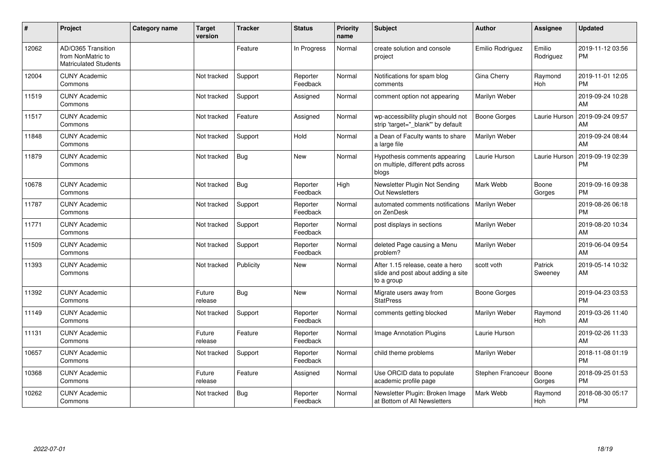| #     | Project                                                                 | Category name | Target<br>version | <b>Tracker</b> | <b>Status</b>        | <b>Priority</b><br>name | <b>Subject</b>                                                                       | <b>Author</b>       | Assignee              | <b>Updated</b>                |
|-------|-------------------------------------------------------------------------|---------------|-------------------|----------------|----------------------|-------------------------|--------------------------------------------------------------------------------------|---------------------|-----------------------|-------------------------------|
| 12062 | AD/O365 Transition<br>from NonMatric to<br><b>Matriculated Students</b> |               |                   | Feature        | In Progress          | Normal                  | create solution and console<br>project                                               | Emilio Rodriguez    | Emilio<br>Rodriguez   | 2019-11-12 03:56<br><b>PM</b> |
| 12004 | <b>CUNY Academic</b><br>Commons                                         |               | Not tracked       | Support        | Reporter<br>Feedback | Normal                  | Notifications for spam blog<br>comments                                              | Gina Cherry         | Raymond<br><b>Hoh</b> | 2019-11-01 12:05<br>PM        |
| 11519 | <b>CUNY Academic</b><br>Commons                                         |               | Not tracked       | Support        | Assigned             | Normal                  | comment option not appearing                                                         | Marilyn Weber       |                       | 2019-09-24 10:28<br>AM        |
| 11517 | <b>CUNY Academic</b><br>Commons                                         |               | Not tracked       | Feature        | Assigned             | Normal                  | wp-accessibility plugin should not<br>strip 'target="_blank"' by default             | <b>Boone Gorges</b> | Laurie Hurson         | 2019-09-24 09:57<br>AM        |
| 11848 | <b>CUNY Academic</b><br>Commons                                         |               | Not tracked       | Support        | Hold                 | Normal                  | a Dean of Faculty wants to share<br>a large file                                     | Marilyn Weber       |                       | 2019-09-24 08:44<br>AM        |
| 11879 | <b>CUNY Academic</b><br>Commons                                         |               | Not tracked       | Bug            | <b>New</b>           | Normal                  | Hypothesis comments appearing<br>on multiple, different pdfs across<br>blogs         | Laurie Hurson       | Laurie Hurson         | 2019-09-19 02:39<br>PM        |
| 10678 | <b>CUNY Academic</b><br>Commons                                         |               | Not tracked       | Bug            | Reporter<br>Feedback | High                    | Newsletter Plugin Not Sending<br><b>Out Newsletters</b>                              | Mark Webb           | Boone<br>Gorges       | 2019-09-16 09:38<br>PM        |
| 11787 | <b>CUNY Academic</b><br>Commons                                         |               | Not tracked       | Support        | Reporter<br>Feedback | Normal                  | automated comments notifications<br>on ZenDesk                                       | Marilyn Weber       |                       | 2019-08-26 06:18<br><b>PM</b> |
| 11771 | <b>CUNY Academic</b><br>Commons                                         |               | Not tracked       | Support        | Reporter<br>Feedback | Normal                  | post displays in sections                                                            | Marilyn Weber       |                       | 2019-08-20 10:34<br>AM        |
| 11509 | <b>CUNY Academic</b><br>Commons                                         |               | Not tracked       | Support        | Reporter<br>Feedback | Normal                  | deleted Page causing a Menu<br>problem?                                              | Marilyn Weber       |                       | 2019-06-04 09:54<br>AM        |
| 11393 | <b>CUNY Academic</b><br>Commons                                         |               | Not tracked       | Publicity      | New                  | Normal                  | After 1.15 release, ceate a hero<br>slide and post about adding a site<br>to a group | scott voth          | Patrick<br>Sweeney    | 2019-05-14 10:32<br>AM        |
| 11392 | <b>CUNY Academic</b><br>Commons                                         |               | Future<br>release | Bug            | <b>New</b>           | Normal                  | Migrate users away from<br><b>StatPress</b>                                          | Boone Gorges        |                       | 2019-04-23 03:53<br><b>PM</b> |
| 11149 | <b>CUNY Academic</b><br>Commons                                         |               | Not tracked       | Support        | Reporter<br>Feedback | Normal                  | comments getting blocked                                                             | Marilyn Weber       | Raymond<br>Hoh        | 2019-03-26 11:40<br>AM        |
| 11131 | <b>CUNY Academic</b><br>Commons                                         |               | Future<br>release | Feature        | Reporter<br>Feedback | Normal                  | <b>Image Annotation Plugins</b>                                                      | Laurie Hurson       |                       | 2019-02-26 11:33<br>AM        |
| 10657 | <b>CUNY Academic</b><br>Commons                                         |               | Not tracked       | Support        | Reporter<br>Feedback | Normal                  | child theme problems                                                                 | Marilyn Weber       |                       | 2018-11-08 01:19<br><b>PM</b> |
| 10368 | <b>CUNY Academic</b><br>Commons                                         |               | Future<br>release | Feature        | Assigned             | Normal                  | Use ORCID data to populate<br>academic profile page                                  | Stephen Francoeur   | Boone<br>Gorges       | 2018-09-25 01:53<br><b>PM</b> |
| 10262 | <b>CUNY Academic</b><br>Commons                                         |               | Not tracked       | Bug            | Reporter<br>Feedback | Normal                  | Newsletter Plugin: Broken Image<br>at Bottom of All Newsletters                      | Mark Webb           | Raymond<br><b>Hoh</b> | 2018-08-30 05:17<br><b>PM</b> |